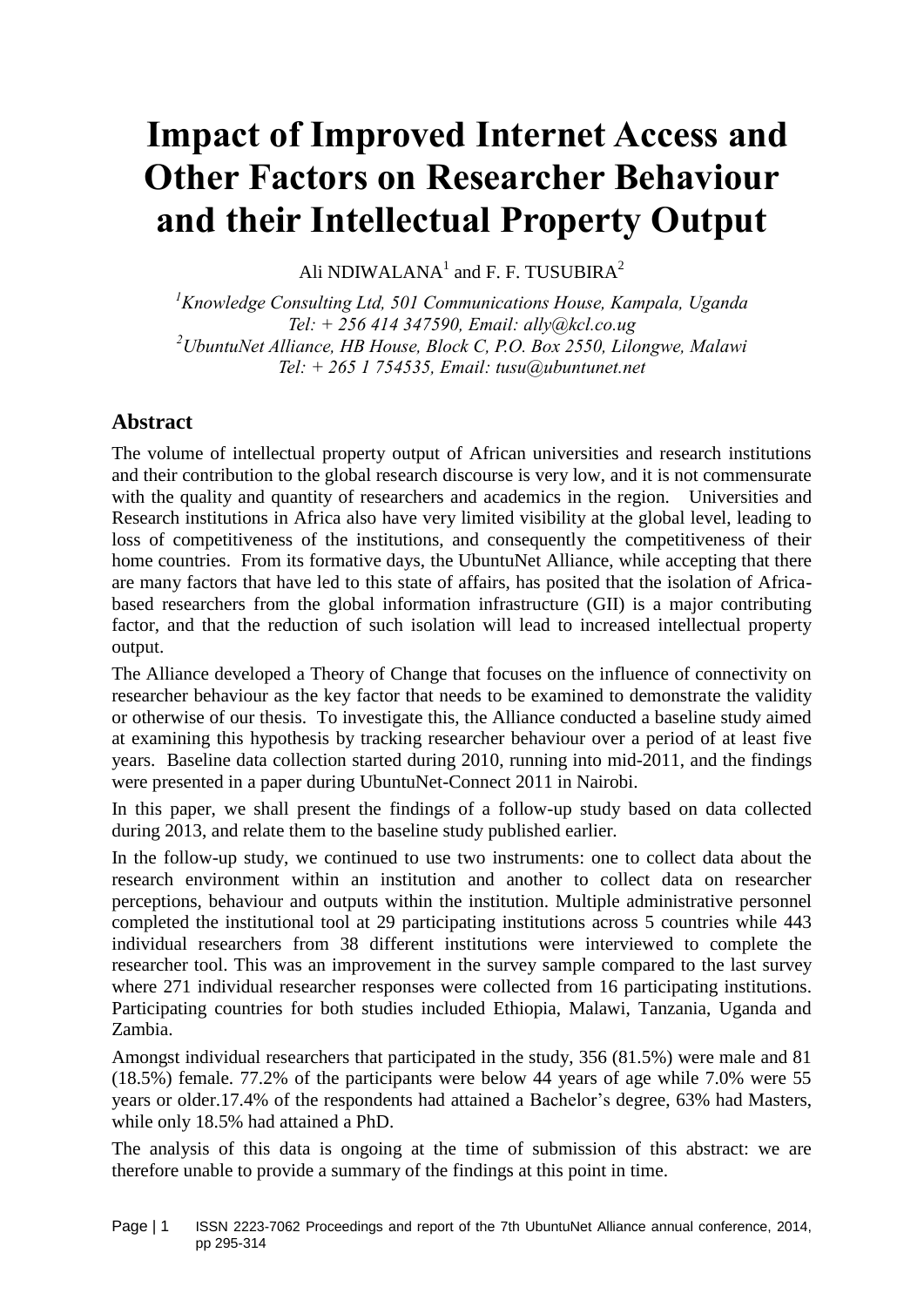# **Impact of Improved Internet Access and Other Factors on Researcher Behaviour and their Intellectual Property Output**

Ali NDIWALANA $^{1}$  and F. F. TUSUBIRA $^{2}$ 

*<sup>1</sup>Knowledge Consulting Ltd, 501 Communications House, Kampala, Uganda Tel: + 256 414 347590, Email: [ally@kcl.co.ug](mailto:tiwonge.banda@ubuntunet.net) <sup>2</sup>UbuntuNet Alliance, HB House, Block C, P.O. Box 2550, Lilongwe, Malawi Tel: + 265 1 754535, Email: [tusu@ubuntunet.net](mailto:tusu@ubuntunet.net)*

# **Abstract**

The volume of intellectual property output of African universities and research institutions and their contribution to the global research discourse is very low, and it is not commensurate with the quality and quantity of researchers and academics in the region. Universities and Research institutions in Africa also have very limited visibility at the global level, leading to loss of competitiveness of the institutions, and consequently the competitiveness of their home countries. From its formative days, the UbuntuNet Alliance, while accepting that there are many factors that have led to this state of affairs, has posited that the isolation of Africabased researchers from the global information infrastructure (GII) is a major contributing factor, and that the reduction of such isolation will lead to increased intellectual property output.

The Alliance developed a Theory of Change that focuses on the influence of connectivity on researcher behaviour as the key factor that needs to be examined to demonstrate the validity or otherwise of our thesis. To investigate this, the Alliance conducted a baseline study aimed at examining this hypothesis by tracking researcher behaviour over a period of at least five years. Baseline data collection started during 2010, running into mid-2011, and the findings were presented in a paper during UbuntuNet-Connect 2011 in Nairobi.

In this paper, we shall present the findings of a follow-up study based on data collected during 2013, and relate them to the baseline study published earlier.

In the follow-up study, we continued to use two instruments: one to collect data about the research environment within an institution and another to collect data on researcher perceptions, behaviour and outputs within the institution. Multiple administrative personnel completed the institutional tool at 29 participating institutions across 5 countries while 443 individual researchers from 38 different institutions were interviewed to complete the researcher tool. This was an improvement in the survey sample compared to the last survey where 271 individual researcher responses were collected from 16 participating institutions. Participating countries for both studies included Ethiopia, Malawi, Tanzania, Uganda and Zambia.

Amongst individual researchers that participated in the study, 356 (81.5%) were male and 81 (18.5%) female. 77.2% of the participants were below 44 years of age while 7.0% were 55 years or older.17.4% of the respondents had attained a Bachelor's degree, 63% had Masters, while only 18.5% had attained a PhD.

The analysis of this data is ongoing at the time of submission of this abstract: we are therefore unable to provide a summary of the findings at this point in time.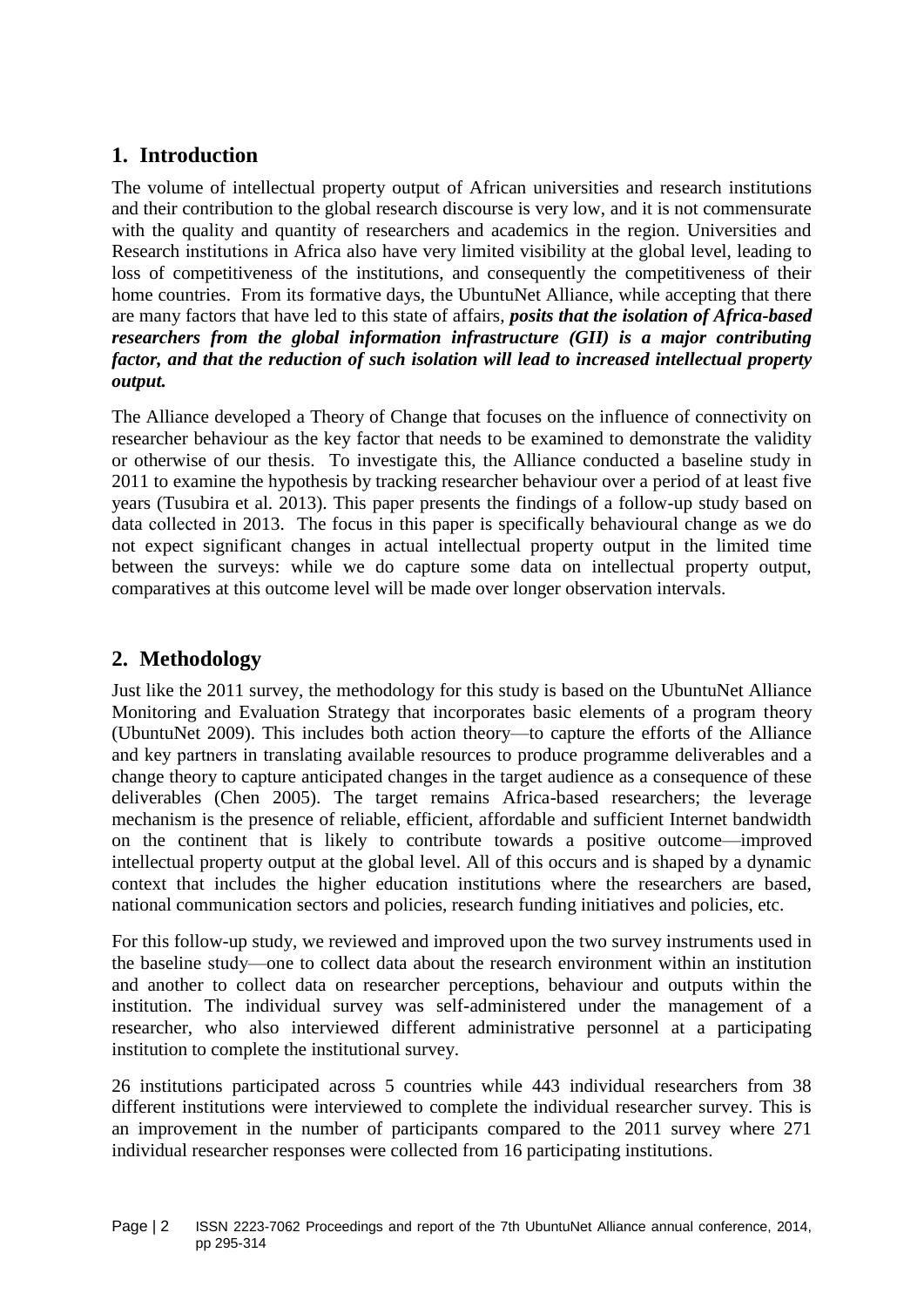# **1. Introduction**

The volume of intellectual property output of African universities and research institutions and their contribution to the global research discourse is very low, and it is not commensurate with the quality and quantity of researchers and academics in the region. Universities and Research institutions in Africa also have very limited visibility at the global level, leading to loss of competitiveness of the institutions, and consequently the competitiveness of their home countries. From its formative days, the UbuntuNet Alliance, while accepting that there are many factors that have led to this state of affairs, *posits that the isolation of Africa-based researchers from the global information infrastructure (GII) is a major contributing factor, and that the reduction of such isolation will lead to increased intellectual property output.*

The Alliance developed a Theory of Change that focuses on the influence of connectivity on researcher behaviour as the key factor that needs to be examined to demonstrate the validity or otherwise of our thesis. To investigate this, the Alliance conducted a baseline study in 2011 to examine the hypothesis by tracking researcher behaviour over a period of at least five years (Tusubira et al. 2013). This paper presents the findings of a follow-up study based on data collected in 2013. The focus in this paper is specifically behavioural change as we do not expect significant changes in actual intellectual property output in the limited time between the surveys: while we do capture some data on intellectual property output, comparatives at this outcome level will be made over longer observation intervals.

# **2. Methodology**

Just like the 2011 survey, the methodology for this study is based on the UbuntuNet Alliance Monitoring and Evaluation Strategy that incorporates basic elements of a program theory (UbuntuNet 2009). This includes both action theory—to capture the efforts of the Alliance and key partners in translating available resources to produce programme deliverables and a change theory to capture anticipated changes in the target audience as a consequence of these deliverables (Chen 2005). The target remains Africa-based researchers; the leverage mechanism is the presence of reliable, efficient, affordable and sufficient Internet bandwidth on the continent that is likely to contribute towards a positive outcome—improved intellectual property output at the global level. All of this occurs and is shaped by a dynamic context that includes the higher education institutions where the researchers are based, national communication sectors and policies, research funding initiatives and policies, etc.

For this follow-up study, we reviewed and improved upon the two survey instruments used in the baseline study—one to collect data about the research environment within an institution and another to collect data on researcher perceptions, behaviour and outputs within the institution. The individual survey was self-administered under the management of a researcher, who also interviewed different administrative personnel at a participating institution to complete the institutional survey.

26 institutions participated across 5 countries while 443 individual researchers from 38 different institutions were interviewed to complete the individual researcher survey. This is an improvement in the number of participants compared to the 2011 survey where 271 individual researcher responses were collected from 16 participating institutions.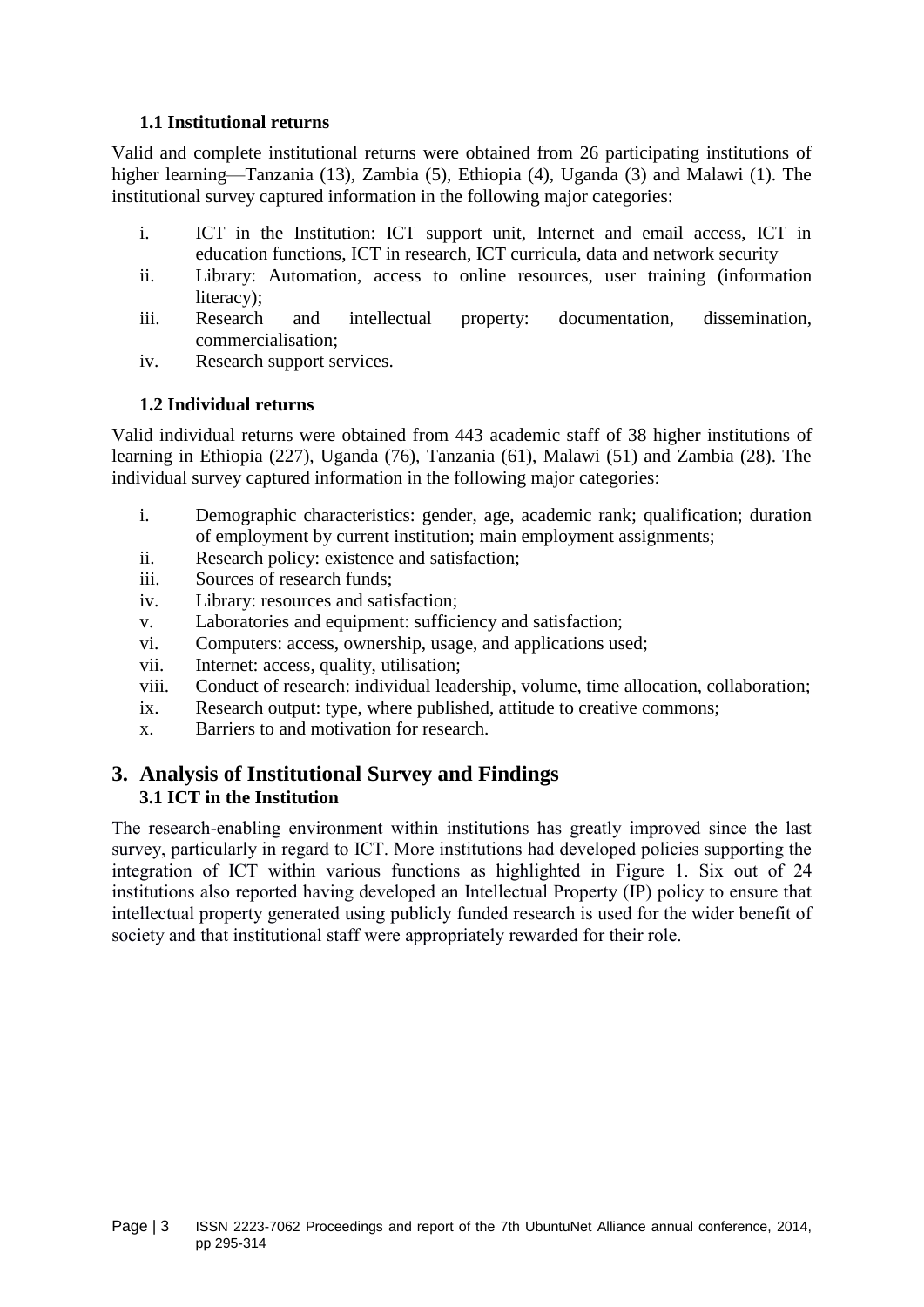## **1.1 Institutional returns**

Valid and complete institutional returns were obtained from 26 participating institutions of higher learning—Tanzania (13), Zambia (5), Ethiopia (4), Uganda (3) and Malawi (1). The institutional survey captured information in the following major categories:

- i. ICT in the Institution: ICT support unit, Internet and email access, ICT in education functions, ICT in research, ICT curricula, data and network security
- ii. Library: Automation, access to online resources, user training (information literacy);
- iii. Research and intellectual property: documentation, dissemination, commercialisation;
- iv. Research support services.

## **1.2 Individual returns**

Valid individual returns were obtained from 443 academic staff of 38 higher institutions of learning in Ethiopia (227), Uganda (76), Tanzania (61), Malawi (51) and Zambia (28). The individual survey captured information in the following major categories:

- i. Demographic characteristics: gender, age, academic rank; qualification; duration of employment by current institution; main employment assignments;
- ii. Research policy: existence and satisfaction;
- iii. Sources of research funds;
- iv. Library: resources and satisfaction;
- v. Laboratories and equipment: sufficiency and satisfaction;
- vi. Computers: access, ownership, usage, and applications used;
- vii. Internet: access, quality, utilisation;
- viii. Conduct of research: individual leadership, volume, time allocation, collaboration;
- ix. Research output: type, where published, attitude to creative commons;
- x. Barriers to and motivation for research.

# **3. Analysis of Institutional Survey and Findings 3.1 ICT in the Institution**

The research-enabling environment within institutions has greatly improved since the last survey, particularly in regard to ICT. More institutions had developed policies supporting the integration of ICT within various functions as highlighted in [Figure 1.](#page-3-0) Six out of 24 institutions also reported having developed an Intellectual Property (IP) policy to ensure that intellectual property generated using publicly funded research is used for the wider benefit of society and that institutional staff were appropriately rewarded for their role.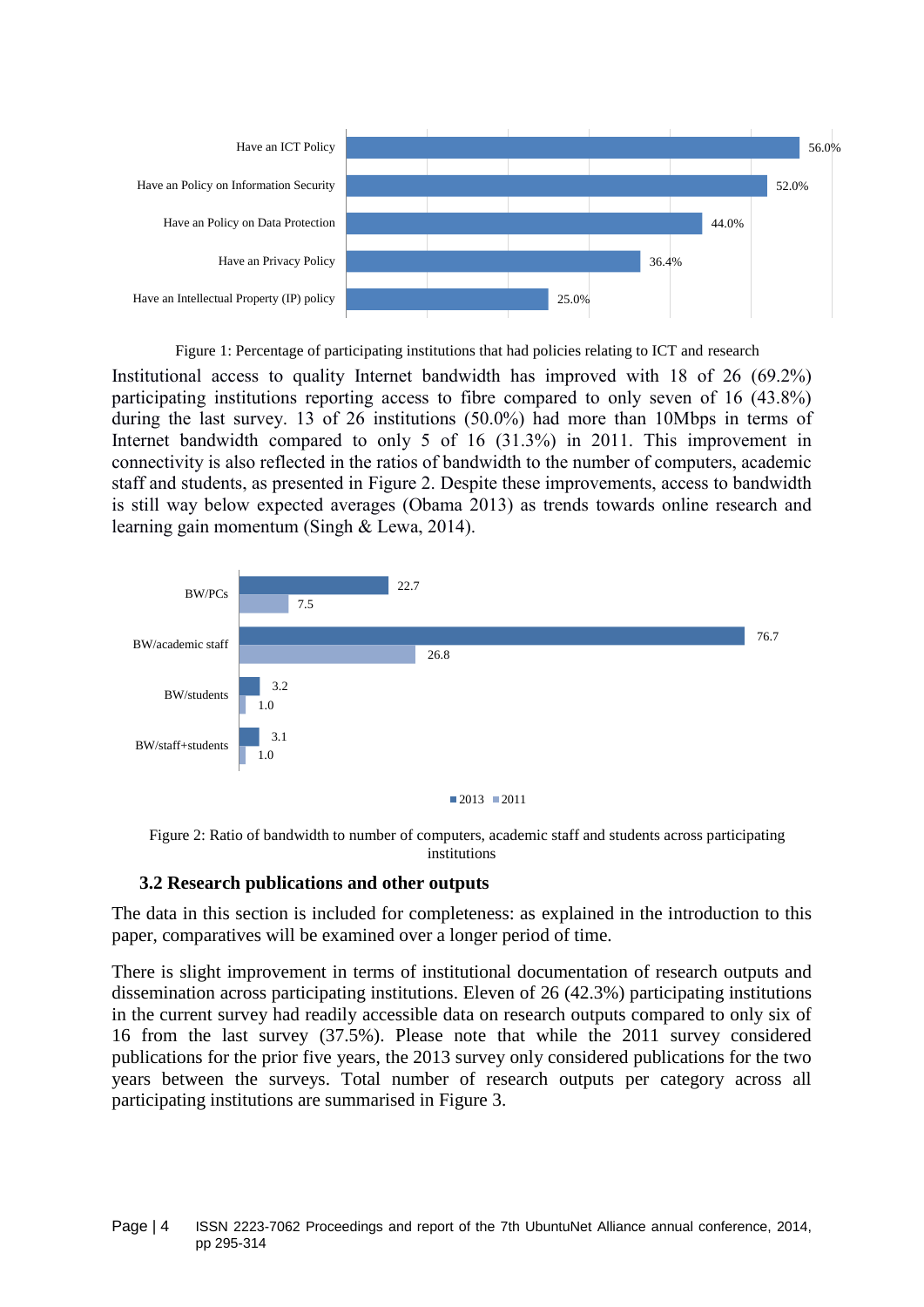

Figure 1: Percentage of participating institutions that had policies relating to ICT and research

<span id="page-3-0"></span>Institutional access to quality Internet bandwidth has improved with 18 of 26 (69.2%) participating institutions reporting access to fibre compared to only seven of 16 (43.8%) during the last survey. 13 of 26 institutions (50.0%) had more than 10Mbps in terms of Internet bandwidth compared to only 5 of 16 (31.3%) in 2011. This improvement in connectivity is also reflected in the ratios of bandwidth to the number of computers, academic staff and students, as presented in [Figure 2.](#page-3-1) Despite these improvements, access to bandwidth is still way below expected averages (Obama 2013) as trends towards online research and learning gain momentum (Singh & Lewa, 2014).



<span id="page-3-1"></span>Figure 2: Ratio of bandwidth to number of computers, academic staff and students across participating institutions

## **3.2 Research publications and other outputs**

The data in this section is included for completeness: as explained in the introduction to this paper, comparatives will be examined over a longer period of time.

There is slight improvement in terms of institutional documentation of research outputs and dissemination across participating institutions. Eleven of 26 (42.3%) participating institutions in the current survey had readily accessible data on research outputs compared to only six of 16 from the last survey (37.5%). Please note that while the 2011 survey considered publications for the prior five years, the 2013 survey only considered publications for the two years between the surveys. Total number of research outputs per category across all participating institutions are summarised in [Figure 3.](#page-4-0)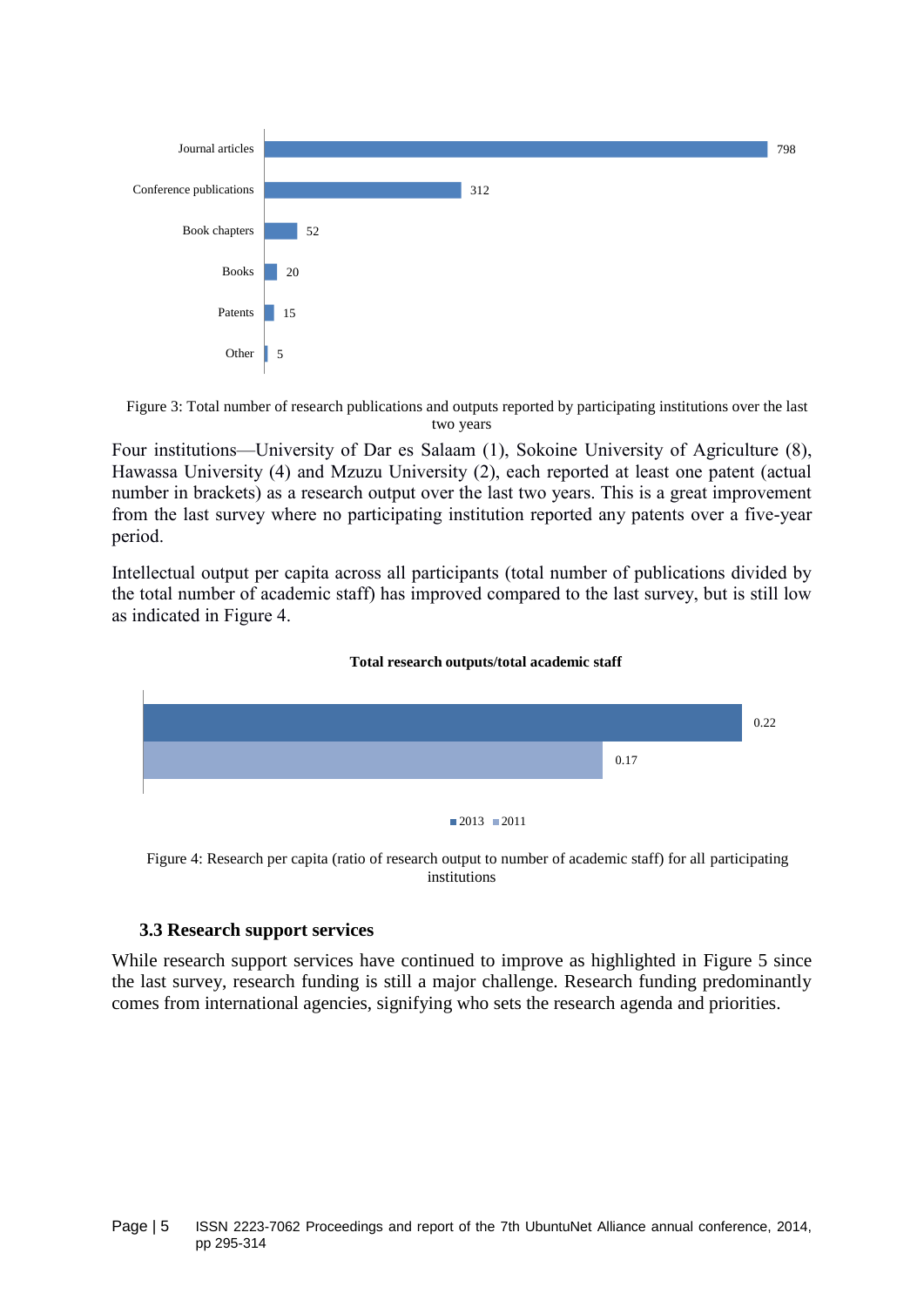

<span id="page-4-0"></span>Figure 3: Total number of research publications and outputs reported by participating institutions over the last two years

Four institutions—University of Dar es Salaam (1), Sokoine University of Agriculture (8), Hawassa University (4) and Mzuzu University (2), each reported at least one patent (actual number in brackets) as a research output over the last two years. This is a great improvement from the last survey where no participating institution reported any patents over a five-year period.

Intellectual output per capita across all participants (total number of publications divided by the total number of academic staff) has improved compared to the last survey, but is still low as indicated in [Figure 4.](#page-4-1)





<span id="page-4-1"></span>Figure 4: Research per capita (ratio of research output to number of academic staff) for all participating institutions

## **3.3 Research support services**

While research support services have continued to improve as highlighted in [Figure 5](#page-5-0) since the last survey, research funding is still a major challenge. Research funding predominantly comes from international agencies, signifying who sets the research agenda and priorities.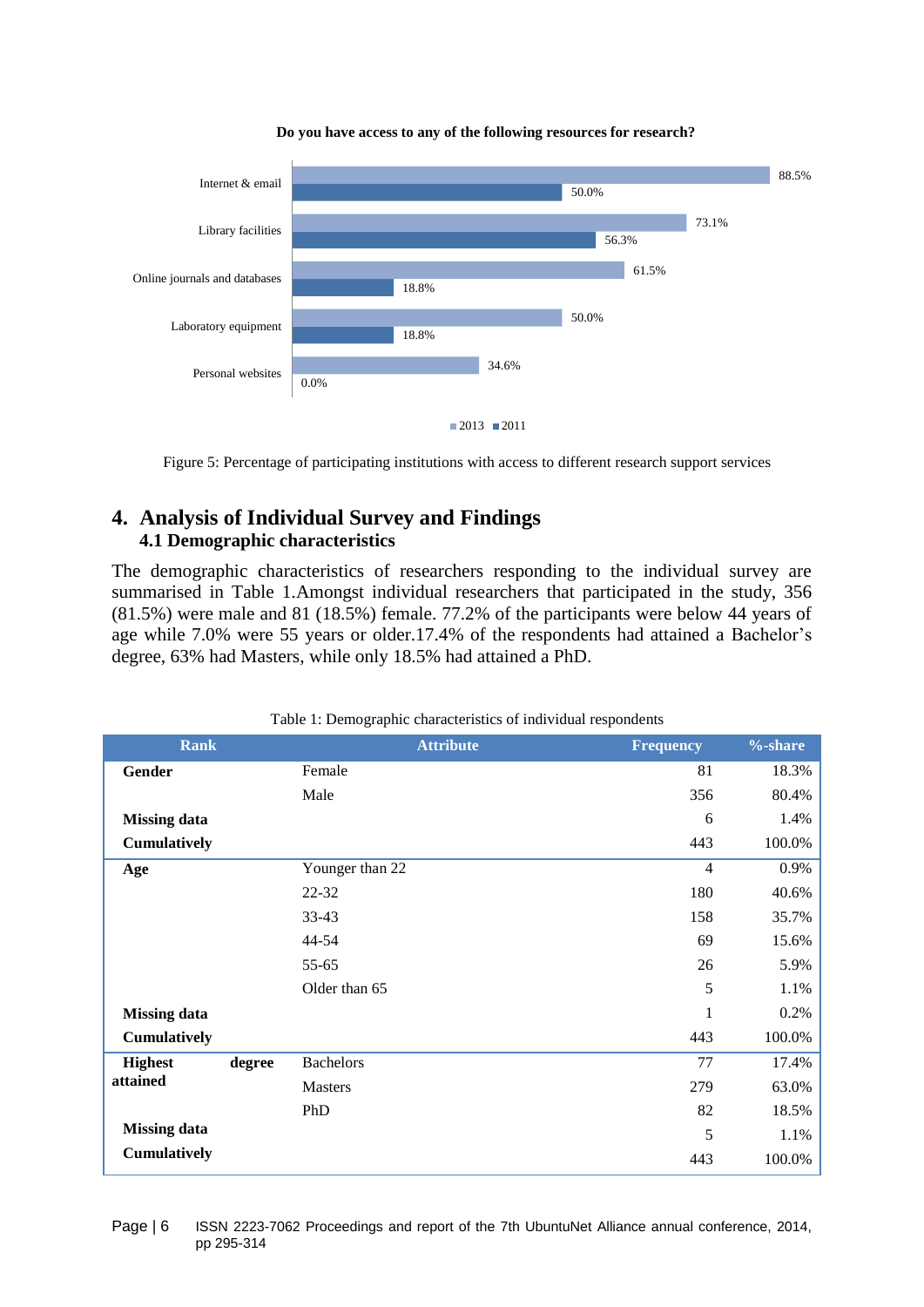

#### **Do you have access to any of the following resources for research?**

Figure 5: Percentage of participating institutions with access to different research support services

# <span id="page-5-0"></span>**4. Analysis of Individual Survey and Findings 4.1 Demographic characteristics**

The demographic characteristics of researchers responding to the individual survey are summarised in [Table 1.](#page-5-1)Amongst individual researchers that participated in the study, 356 (81.5%) were male and 81 (18.5%) female. 77.2% of the participants were below 44 years of age while 7.0% were 55 years or older.17.4% of the respondents had attained a Bachelor's degree, 63% had Masters, while only 18.5% had attained a PhD.

<span id="page-5-1"></span>

| <b>Rank</b>                |        | <b>Attribute</b> | <b>Frequency</b> | $% - share$ |
|----------------------------|--------|------------------|------------------|-------------|
| Gender                     |        | Female           | 81               | 18.3%       |
|                            |        | Male             | 356              | 80.4%       |
| <b>Missing data</b>        |        |                  | 6                | 1.4%        |
| Cumulatively               |        |                  | 443              | 100.0%      |
| Age                        |        | Younger than 22  | $\overline{4}$   | 0.9%        |
|                            |        | 22-32            | 180              | 40.6%       |
|                            |        | $33-43$          | 158              | 35.7%       |
|                            |        | 44-54            | 69               | 15.6%       |
|                            |        | 55-65            | 26               | 5.9%        |
|                            |        | Older than 65    | 5                | 1.1%        |
| <b>Missing data</b>        |        |                  | 1                | 0.2%        |
| Cumulatively               |        |                  | 443              | 100.0%      |
| <b>Highest</b><br>attained | degree | <b>Bachelors</b> | 77               | 17.4%       |
|                            |        | <b>Masters</b>   | 279              | 63.0%       |
|                            |        | PhD              | 82               | 18.5%       |
| <b>Missing data</b>        |        |                  | 5                | 1.1%        |
| Cumulatively               |        |                  | 443              | 100.0%      |

Table 1: Demographic characteristics of individual respondents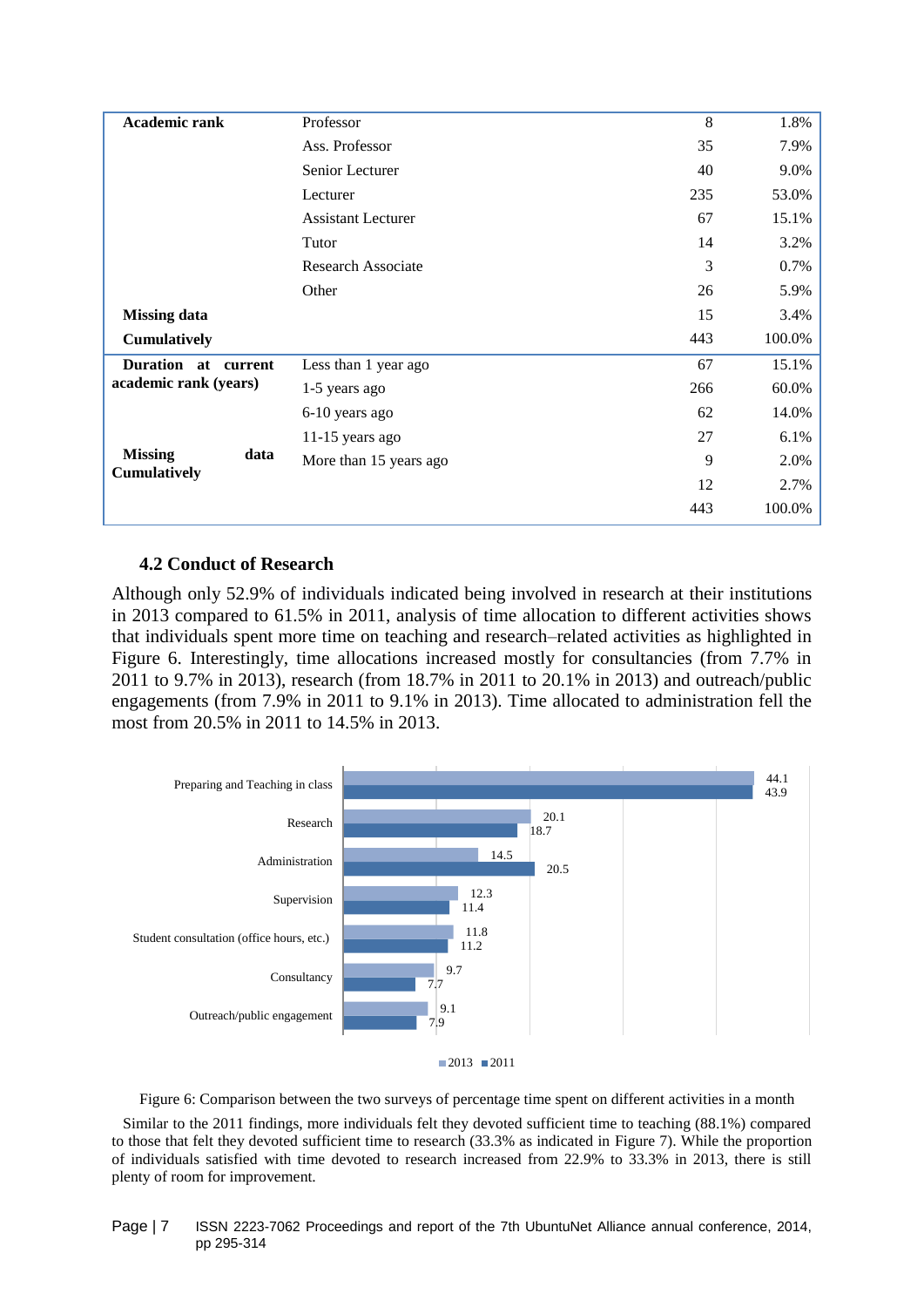| <b>Academic rank</b>   | Professor                 | 8   | 1.8%   |
|------------------------|---------------------------|-----|--------|
|                        | Ass. Professor            | 35  | 7.9%   |
|                        | Senior Lecturer           | 40  | 9.0%   |
|                        | Lecturer                  | 235 | 53.0%  |
|                        | <b>Assistant Lecturer</b> | 67  | 15.1%  |
|                        | Tutor                     | 14  | 3.2%   |
|                        | <b>Research Associate</b> | 3   | 0.7%   |
|                        | Other                     | 26  | 5.9%   |
| <b>Missing data</b>    |                           | 15  | 3.4%   |
| <b>Cumulatively</b>    |                           | 443 | 100.0% |
| Duration at<br>current | Less than 1 year ago      | 67  | 15.1%  |
| academic rank (years)  | 1-5 years ago             | 266 | 60.0%  |
|                        | 6-10 years ago            | 62  | 14.0%  |
|                        | $11-15$ years ago         | 27  | 6.1%   |
| <b>Missing</b><br>data | More than 15 years ago    | 9   | 2.0%   |
| <b>Cumulatively</b>    |                           | 12  | 2.7%   |
|                        |                           | 443 | 100.0% |

## **4.2 Conduct of Research**

Although only 52.9% of individuals indicated being involved in research at their institutions in 2013 compared to 61.5% in 2011, analysis of time allocation to different activities shows that individuals spent more time on teaching and research–related activities as highlighted in [Figure 6.](#page-6-0) Interestingly, time allocations increased mostly for consultancies (from 7.7% in 2011 to 9.7% in 2013), research (from 18.7% in 2011 to 20.1% in 2013) and outreach/public engagements (from 7.9% in 2011 to 9.1% in 2013). Time allocated to administration fell the most from 20.5% in 2011 to 14.5% in 2013.





Figure 6: Comparison between the two surveys of percentage time spent on different activities in a month

<span id="page-6-0"></span>Similar to the 2011 findings, more individuals felt they devoted sufficient time to teaching (88.1%) compared to those that felt they devoted sufficient time to research (33.3% as indicated in [Figure 7\)](#page-7-0). While the proportion of individuals satisfied with time devoted to research increased from 22.9% to 33.3% in 2013, there is still plenty of room for improvement.

#### Page | 7 ISSN 2223-7062 Proceedings and report of the 7th UbuntuNet Alliance annual conference, 2014, pp 295-314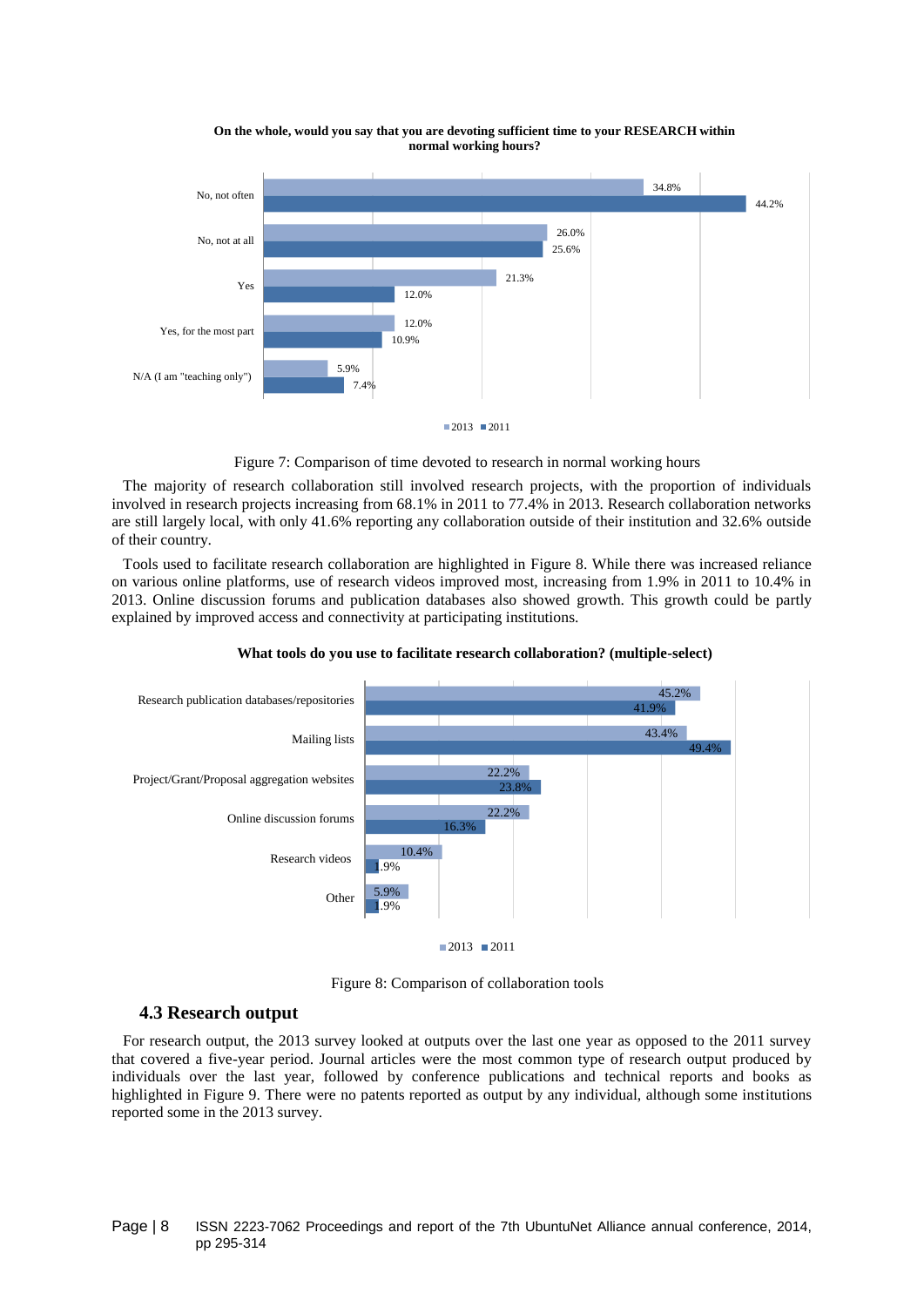

**On the whole, would you say that you are devoting sufficient time to your RESEARCH within normal working hours?**



<span id="page-7-0"></span>The majority of research collaboration still involved research projects, with the proportion of individuals involved in research projects increasing from 68.1% in 2011 to 77.4% in 2013. Research collaboration networks are still largely local, with only 41.6% reporting any collaboration outside of their institution and 32.6% outside of their country.

Tools used to facilitate research collaboration are highlighted in [Figure 8.](#page-7-1) While there was increased reliance on various online platforms, use of research videos improved most, increasing from 1.9% in 2011 to 10.4% in 2013. Online discussion forums and publication databases also showed growth. This growth could be partly explained by improved access and connectivity at participating institutions.



#### **What tools do you use to facilitate research collaboration? (multiple-select)**

Figure 8: Comparison of collaboration tools

#### <span id="page-7-1"></span>**4.3 Research output**

For research output, the 2013 survey looked at outputs over the last one year as opposed to the 2011 survey that covered a five-year period. Journal articles were the most common type of research output produced by individuals over the last year, followed by conference publications and technical reports and books as highlighted in [Figure 9.](#page-8-0) There were no patents reported as output by any individual, although some institutions reported some in the 2013 survey.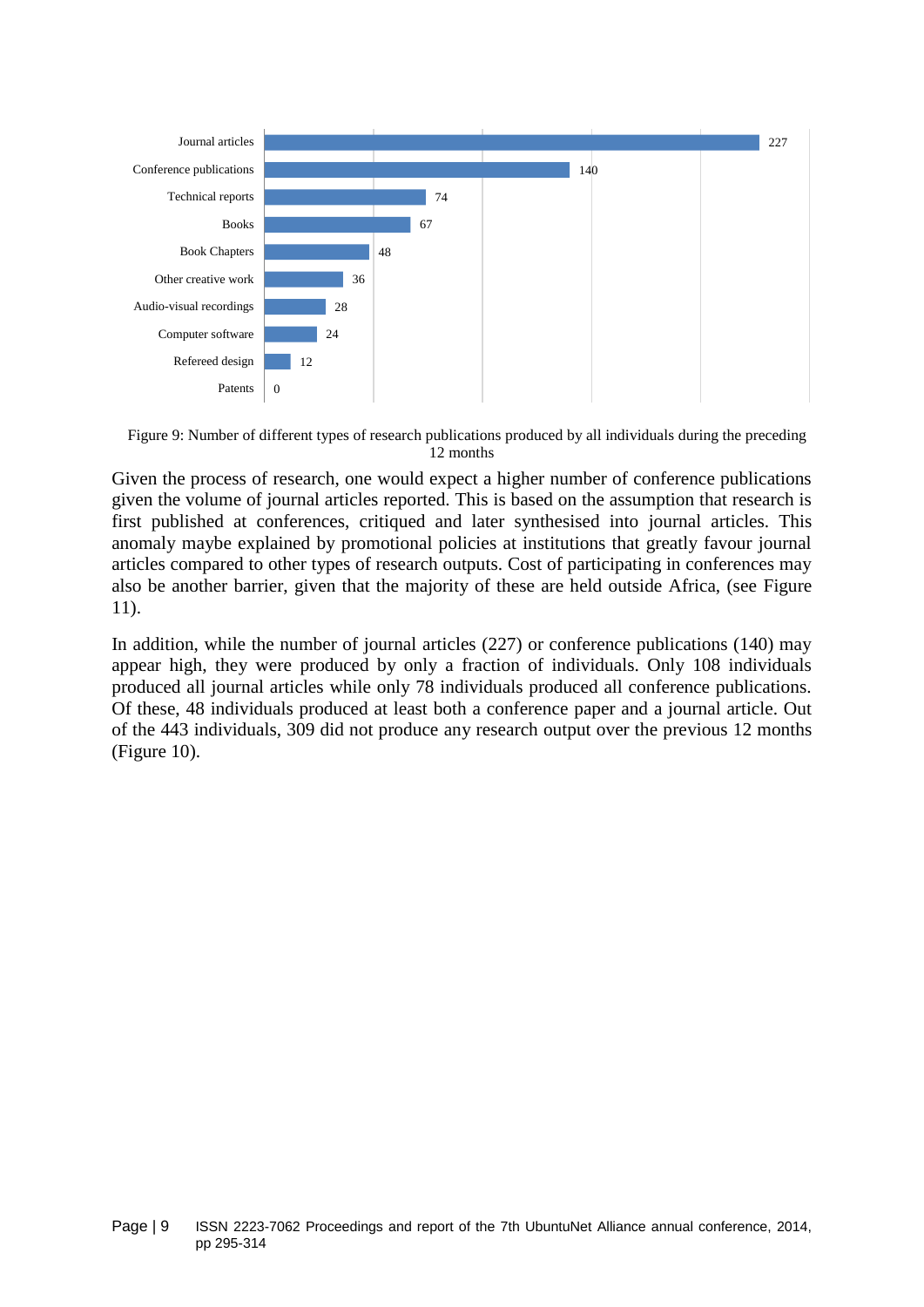

<span id="page-8-0"></span>Figure 9: Number of different types of research publications produced by all individuals during the preceding 12 months

Given the process of research, one would expect a higher number of conference publications given the volume of journal articles reported. This is based on the assumption that research is first published at conferences, critiqued and later synthesised into journal articles. This anomaly maybe explained by promotional policies at institutions that greatly favour journal articles compared to other types of research outputs. Cost of participating in conferences may also be another barrier, given that the majority of these are held outside Africa, (see [Figure](#page-9-0)  [11\)](#page-9-0).

In addition, while the number of journal articles (227) or conference publications (140) may appear high, they were produced by only a fraction of individuals. Only 108 individuals produced all journal articles while only 78 individuals produced all conference publications. Of these, 48 individuals produced at least both a conference paper and a journal article. Out of the 443 individuals, 309 did not produce any research output over the previous 12 months [\(Figure 10\)](#page-9-1).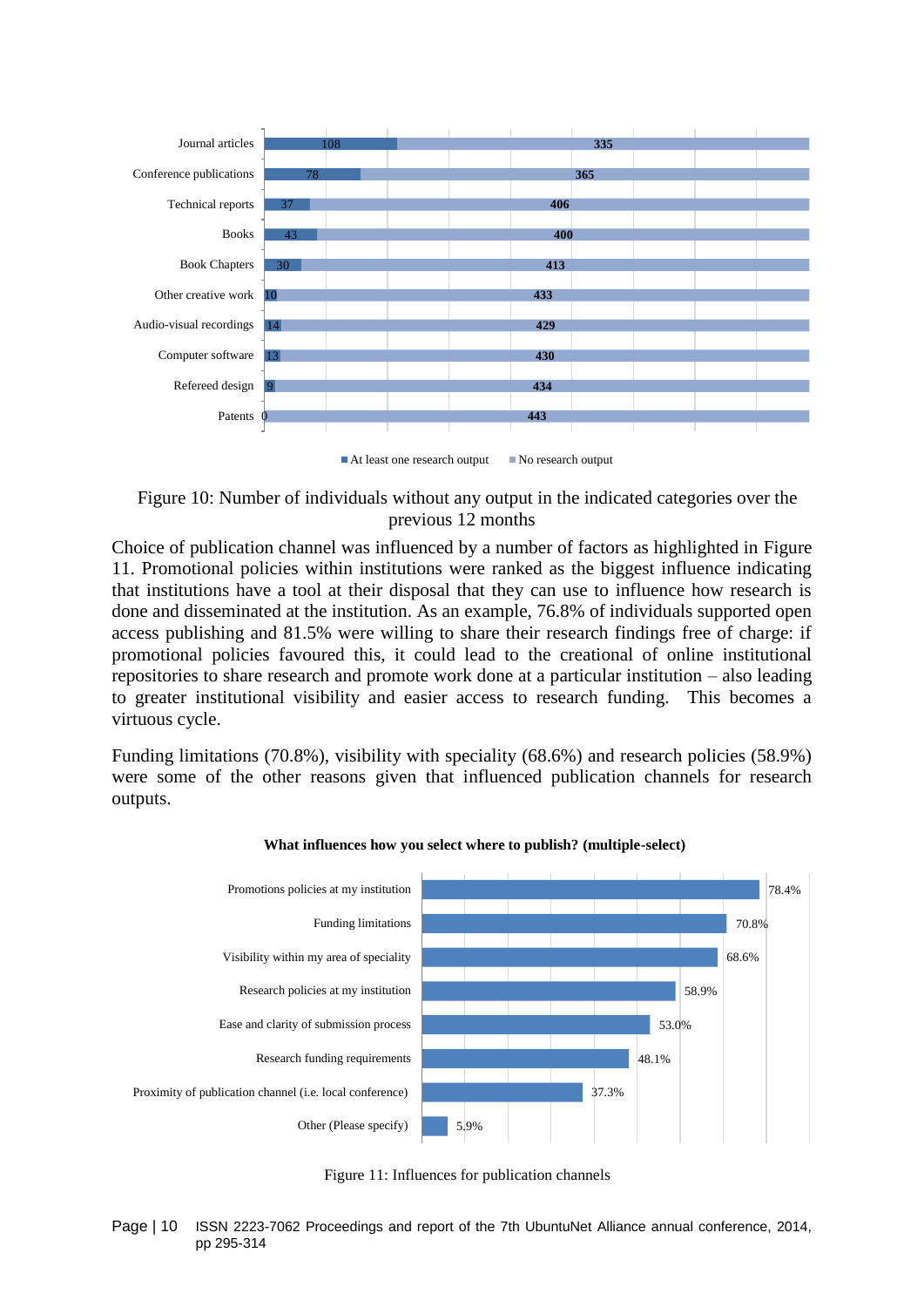

<span id="page-9-1"></span>Figure 10: Number of individuals without any output in the indicated categories over the previous 12 months

Choice of publication channel was influenced by a number of factors as highlighted in [Figure](#page-9-0)  [11.](#page-9-0) Promotional policies within institutions were ranked as the biggest influence indicating that institutions have a tool at their disposal that they can use to influence how research is done and disseminated at the institution. As an example, 76.8% of individuals supported open access publishing and 81.5% were willing to share their research findings free of charge: if promotional policies favoured this, it could lead to the creational of online institutional repositories to share research and promote work done at a particular institution – also leading to greater institutional visibility and easier access to research funding. This becomes a virtuous cycle.

Funding limitations (70.8%), visibility with speciality (68.6%) and research policies (58.9%) were some of the other reasons given that influenced publication channels for research outputs.





<span id="page-9-0"></span>Figure 11: Influences for publication channels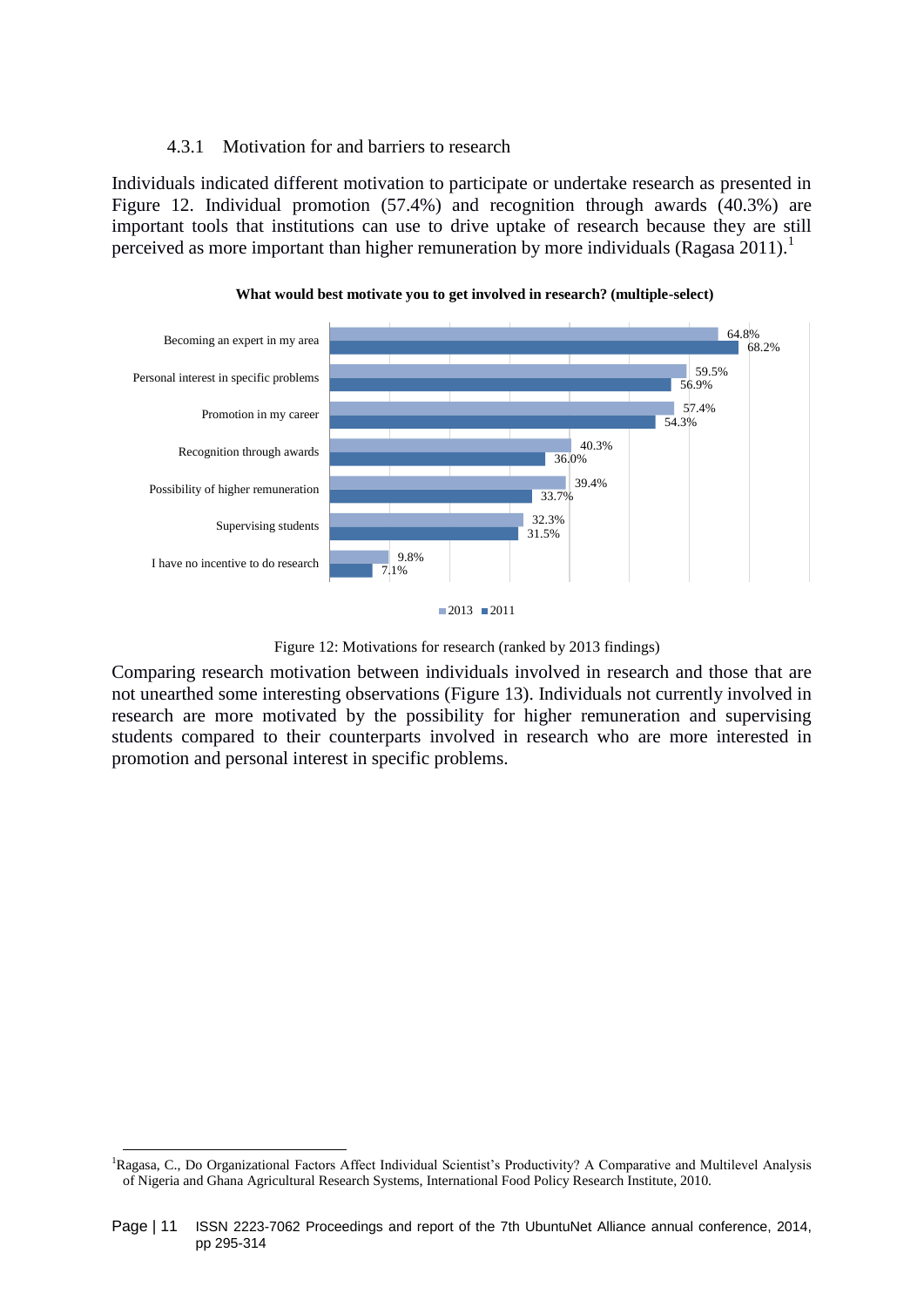## 4.3.1 Motivation for and barriers to research

Individuals indicated different motivation to participate or undertake research as presented in [Figure 12.](#page-10-0) Individual promotion (57.4%) and recognition through awards (40.3%) are important tools that institutions can use to drive uptake of research because they are still perceived as more important than higher remuneration by more individuals (Ragasa 2011).<sup>1</sup>





<span id="page-10-0"></span>Comparing research motivation between individuals involved in research and those that are not unearthed some interesting observations [\(Figure 13\)](#page-11-0). Individuals not currently involved in research are more motivated by the possibility for higher remuneration and supervising students compared to their counterparts involved in research who are more interested in promotion and personal interest in specific problems.

 $\overline{a}$ 

 $2013$   $2011$ 

Figure 12: Motivations for research (ranked by 2013 findings)

<sup>&</sup>lt;sup>1</sup>Ragasa, C., Do Organizational Factors Affect Individual Scientist's Productivity? A Comparative and Multilevel Analysis of Nigeria and Ghana Agricultural Research Systems, International Food Policy Research Institute, 2010.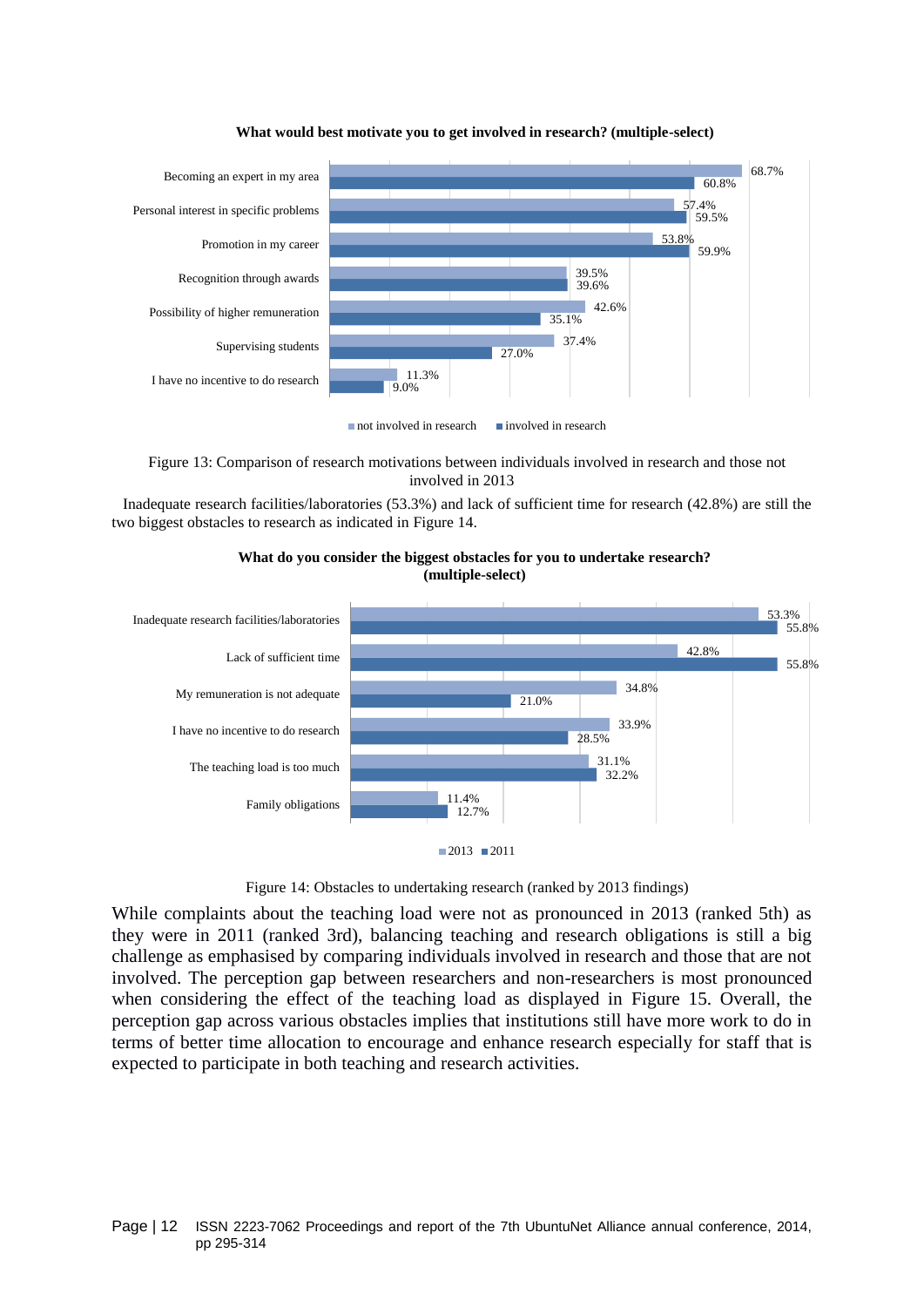

#### **What would best motivate you to get involved in research? (multiple-select)**

 $\blacksquare$  not involved in research  $\blacksquare$  involved in research

<span id="page-11-0"></span>Figure 13: Comparison of research motivations between individuals involved in research and those not involved in 2013

Inadequate research facilities/laboratories (53.3%) and lack of sufficient time for research (42.8%) are still the two biggest obstacles to research as indicated in [Figure 14.](#page-11-1)



**What do you consider the biggest obstacles for you to undertake research? (multiple-select)** 



Figure 14: Obstacles to undertaking research (ranked by 2013 findings)

<span id="page-11-1"></span>While complaints about the teaching load were not as pronounced in 2013 (ranked 5th) as they were in 2011 (ranked 3rd), balancing teaching and research obligations is still a big challenge as emphasised by comparing individuals involved in research and those that are not involved. The perception gap between researchers and non-researchers is most pronounced when considering the effect of the teaching load as displayed in [Figure 15.](#page-12-0) Overall, the perception gap across various obstacles implies that institutions still have more work to do in terms of better time allocation to encourage and enhance research especially for staff that is expected to participate in both teaching and research activities.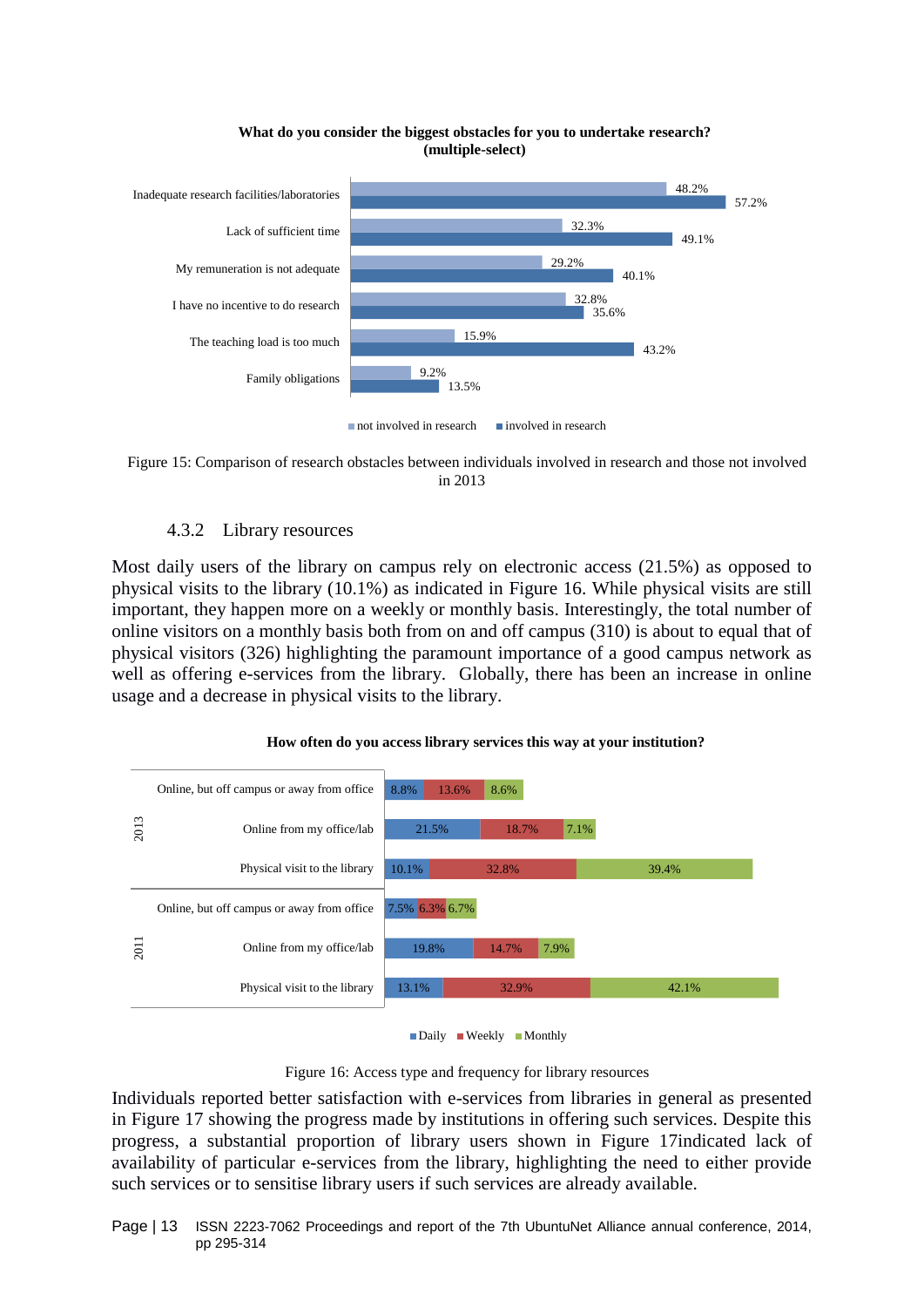

#### **What do you consider the biggest obstacles for you to undertake research? (multiple-select)**

<span id="page-12-0"></span>Figure 15: Comparison of research obstacles between individuals involved in research and those not involved in 2013

## 4.3.2 Library resources

Most daily users of the library on campus rely on electronic access (21.5%) as opposed to physical visits to the library (10.1%) as indicated in [Figure 16.](#page-12-1) While physical visits are still important, they happen more on a weekly or monthly basis. Interestingly, the total number of online visitors on a monthly basis both from on and off campus (310) is about to equal that of physical visitors (326) highlighting the paramount importance of a good campus network as well as offering e-services from the library. Globally, there has been an increase in online usage and a decrease in physical visits to the library.



#### **How often do you access library services this way at your institution?**



Figure 16: Access type and frequency for library resources

<span id="page-12-1"></span>Individuals reported better satisfaction with e-services from libraries in general as presented in [Figure 17](#page-13-0) showing the progress made by institutions in offering such services. Despite this progress, a substantial proportion of library users shown in [Figure 17i](#page-13-0)ndicated lack of availability of particular e-services from the library, highlighting the need to either provide such services or to sensitise library users if such services are already available.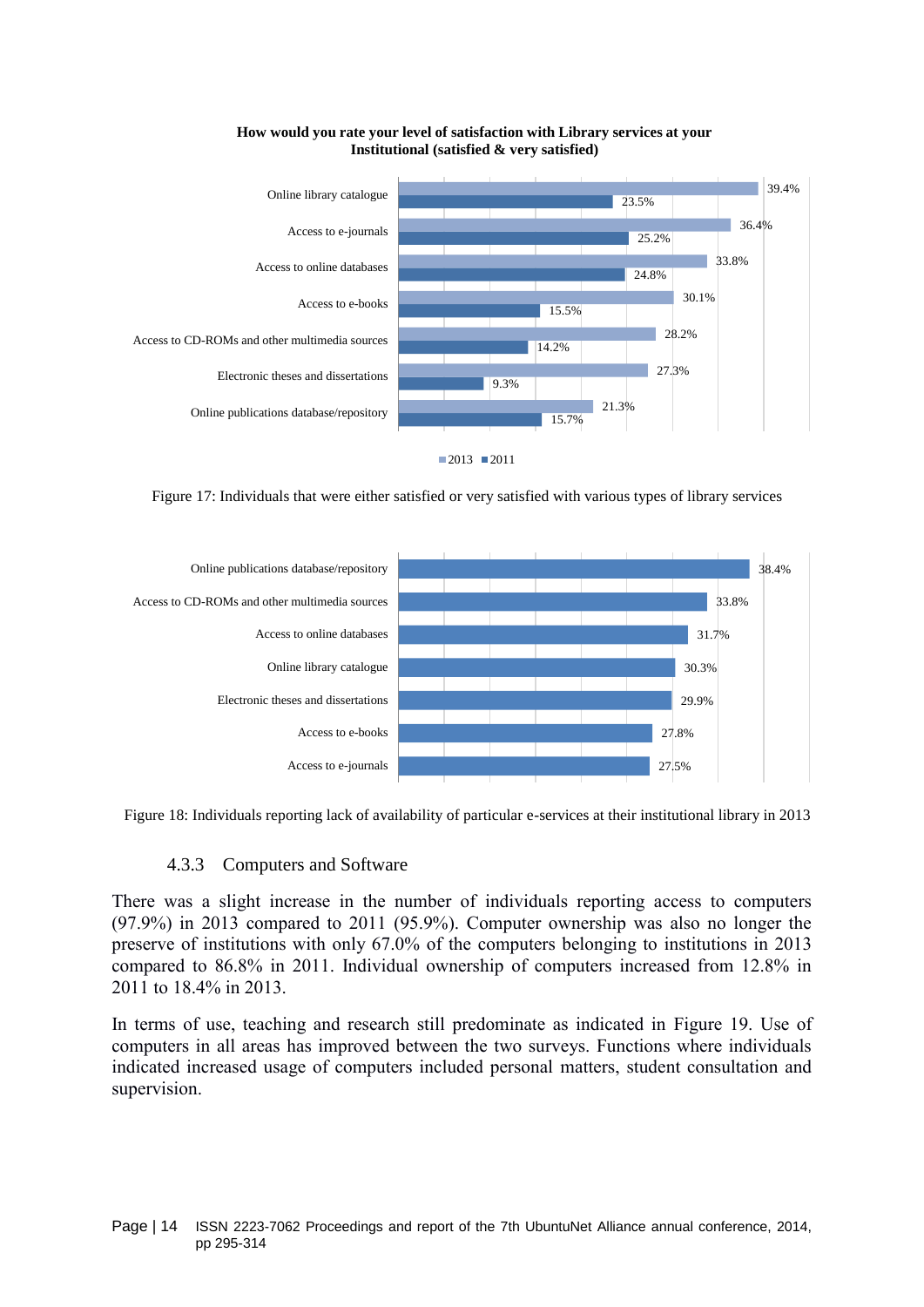

**How would you rate your level of satisfaction with Library services at your Institutional (satisfied & very satisfied)**

<span id="page-13-0"></span>Figure 17: Individuals that were either satisfied or very satisfied with various types of library services



Figure 18: Individuals reporting lack of availability of particular e-services at their institutional library in 2013

#### 4.3.3 Computers and Software

There was a slight increase in the number of individuals reporting access to computers (97.9%) in 2013 compared to 2011 (95.9%). Computer ownership was also no longer the preserve of institutions with only 67.0% of the computers belonging to institutions in 2013 compared to 86.8% in 2011. Individual ownership of computers increased from 12.8% in 2011 to 18.4% in 2013.

In terms of use, teaching and research still predominate as indicated in [Figure 19.](#page-14-0) Use of computers in all areas has improved between the two surveys. Functions where individuals indicated increased usage of computers included personal matters, student consultation and supervision.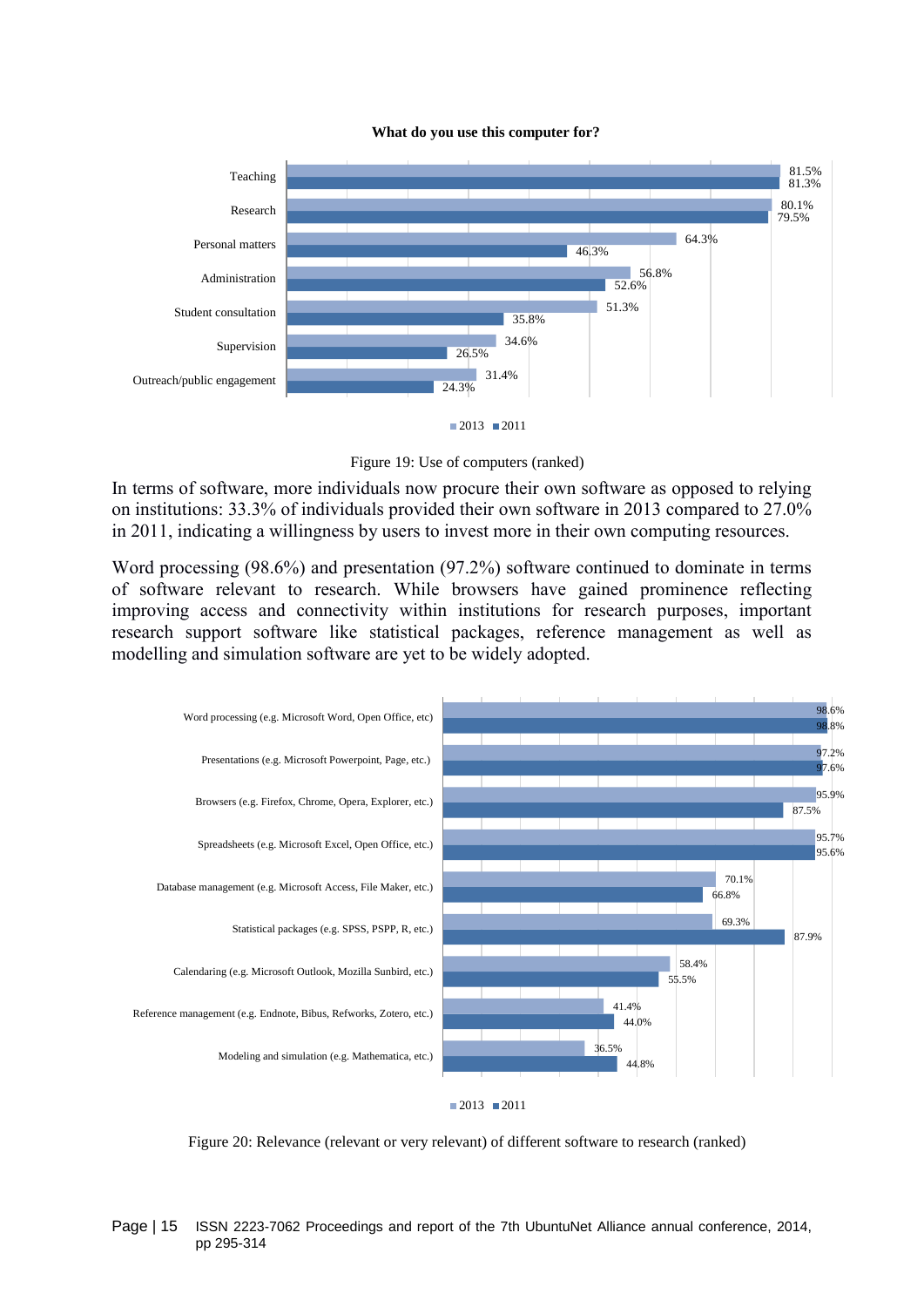



Figure 19: Use of computers (ranked)

<span id="page-14-0"></span>In terms of software, more individuals now procure their own software as opposed to relying on institutions: 33.3% of individuals provided their own software in 2013 compared to 27.0% in 2011, indicating a willingness by users to invest more in their own computing resources.

Word processing (98.6%) and presentation (97.2%) software continued to dominate in terms of software relevant to research. While browsers have gained prominence reflecting improving access and connectivity within institutions for research purposes, important research support software like statistical packages, reference management as well as modelling and simulation software are yet to be widely adopted.



Figure 20: Relevance (relevant or very relevant) of different software to research (ranked)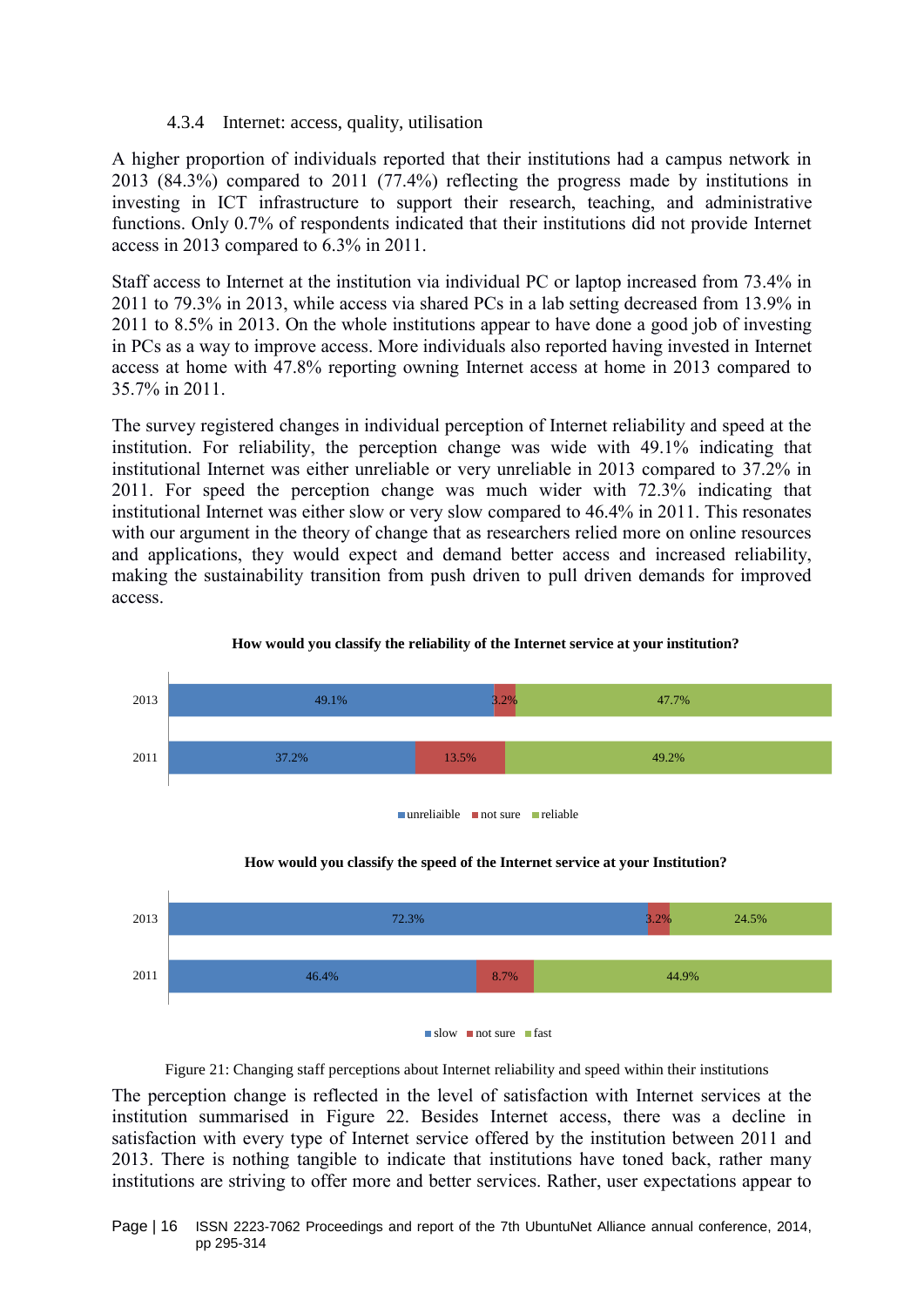## 4.3.4 Internet: access, quality, utilisation

A higher proportion of individuals reported that their institutions had a campus network in 2013 (84.3%) compared to 2011 (77.4%) reflecting the progress made by institutions in investing in ICT infrastructure to support their research, teaching, and administrative functions. Only 0.7% of respondents indicated that their institutions did not provide Internet access in 2013 compared to 6.3% in 2011.

Staff access to Internet at the institution via individual PC or laptop increased from 73.4% in 2011 to 79.3% in 2013, while access via shared PCs in a lab setting decreased from 13.9% in 2011 to 8.5% in 2013. On the whole institutions appear to have done a good job of investing in PCs as a way to improve access. More individuals also reported having invested in Internet access at home with 47.8% reporting owning Internet access at home in 2013 compared to 35.7% in 2011.

The survey registered changes in individual perception of Internet reliability and speed at the institution. For reliability, the perception change was wide with 49.1% indicating that institutional Internet was either unreliable or very unreliable in 2013 compared to 37.2% in 2011. For speed the perception change was much wider with 72.3% indicating that institutional Internet was either slow or very slow compared to 46.4% in 2011. This resonates with our argument in the theory of change that as researchers relied more on online resources and applications, they would expect and demand better access and increased reliability, making the sustainability transition from push driven to pull driven demands for improved access.



## **How would you classify the reliability of the Internet service at your institution?**





Figure 21: Changing staff perceptions about Internet reliability and speed within their institutions The perception change is reflected in the level of satisfaction with Internet services at the institution summarised in [Figure 22.](#page-16-0) Besides Internet access, there was a decline in satisfaction with every type of Internet service offered by the institution between 2011 and 2013. There is nothing tangible to indicate that institutions have toned back, rather many institutions are striving to offer more and better services. Rather, user expectations appear to

Page | 16 ISSN 2223-7062 Proceedings and report of the 7th UbuntuNet Alliance annual conference, 2014, pp 295-314

slow not sure fast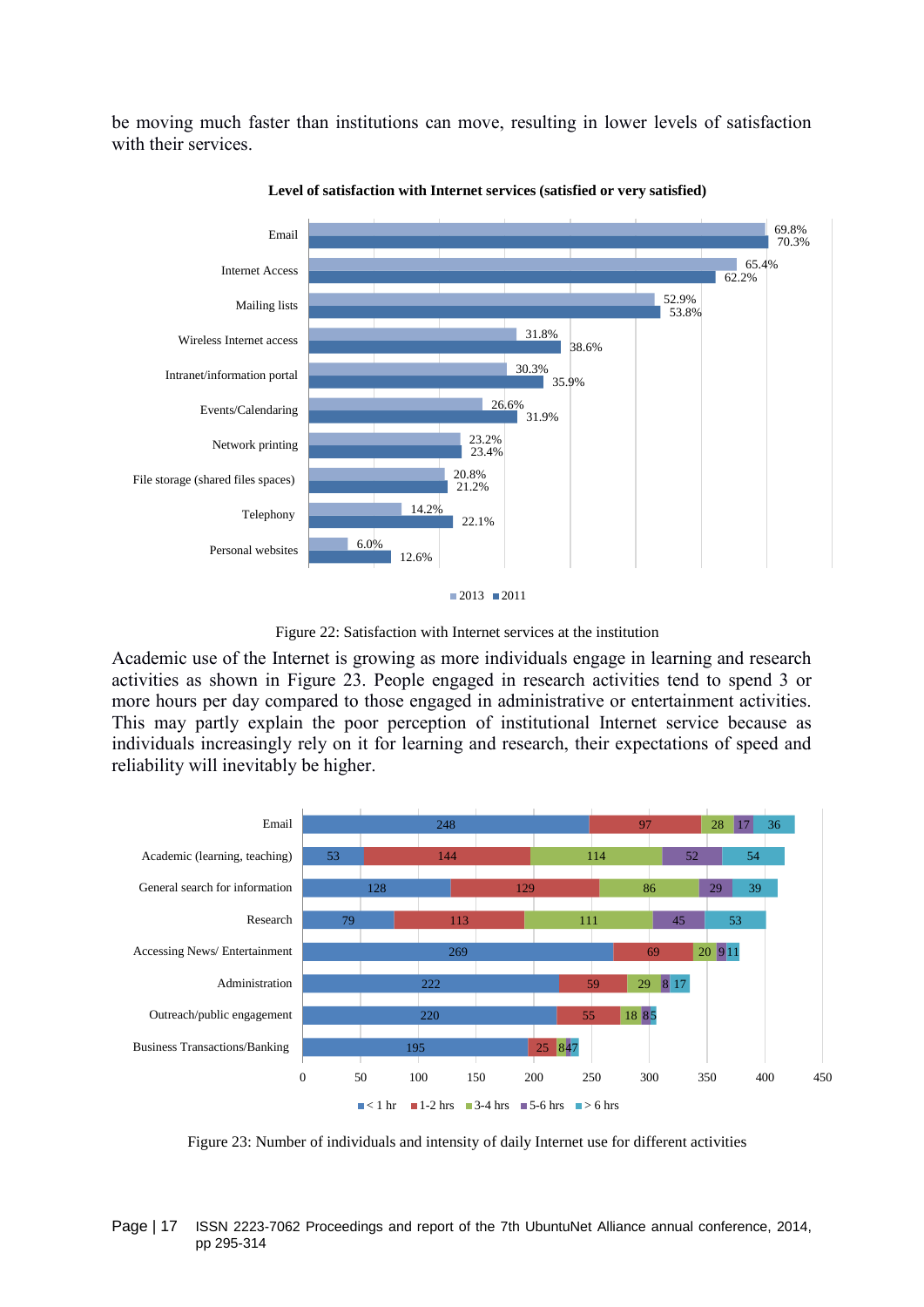be moving much faster than institutions can move, resulting in lower levels of satisfaction with their services.



**Level of satisfaction with Internet services (satisfied or very satisfied)**

<span id="page-16-0"></span>Academic use of the Internet is growing as more individuals engage in learning and research activities as shown in [Figure 23.](#page-16-1) People engaged in research activities tend to spend 3 or more hours per day compared to those engaged in administrative or entertainment activities. This may partly explain the poor perception of institutional Internet service because as individuals increasingly rely on it for learning and research, their expectations of speed and reliability will inevitably be higher.



<span id="page-16-1"></span>Figure 23: Number of individuals and intensity of daily Internet use for different activities

Figure 22: Satisfaction with Internet services at the institution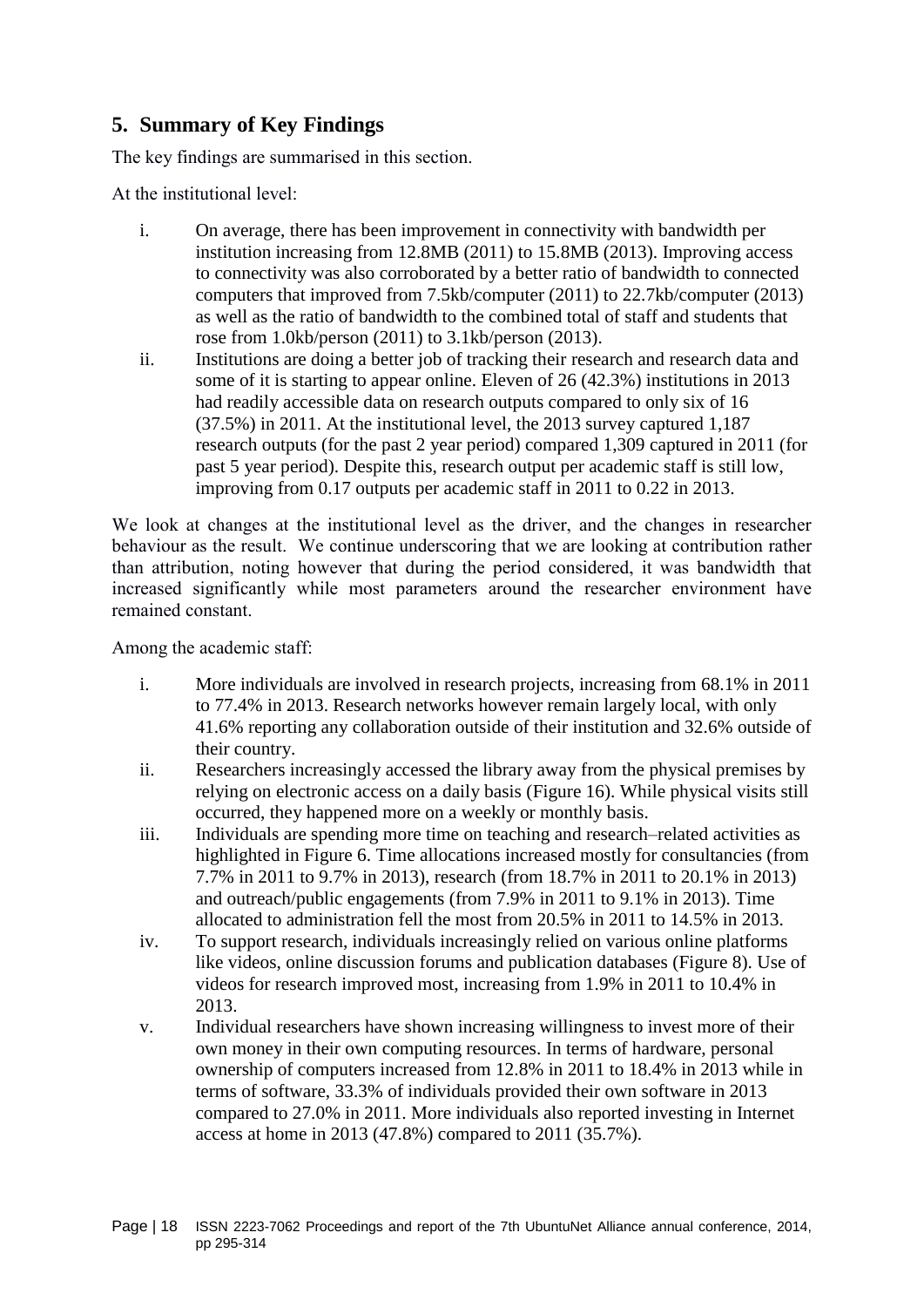# **5. Summary of Key Findings**

The key findings are summarised in this section.

At the institutional level:

- i. On average, there has been improvement in connectivity with bandwidth per institution increasing from 12.8MB (2011) to 15.8MB (2013). Improving access to connectivity was also corroborated by a better ratio of bandwidth to connected computers that improved from 7.5kb/computer (2011) to 22.7kb/computer (2013) as well as the ratio of bandwidth to the combined total of staff and students that rose from 1.0kb/person (2011) to 3.1kb/person (2013).
- ii. Institutions are doing a better job of tracking their research and research data and some of it is starting to appear online. Eleven of 26 (42.3%) institutions in 2013 had readily accessible data on research outputs compared to only six of 16 (37.5%) in 2011. At the institutional level, the 2013 survey captured 1,187 research outputs (for the past 2 year period) compared 1,309 captured in 2011 (for past 5 year period). Despite this, research output per academic staff is still low, improving from 0.17 outputs per academic staff in 2011 to 0.22 in 2013.

We look at changes at the institutional level as the driver, and the changes in researcher behaviour as the result. We continue underscoring that we are looking at contribution rather than attribution, noting however that during the period considered, it was bandwidth that increased significantly while most parameters around the researcher environment have remained constant.

Among the academic staff:

- i. More individuals are involved in research projects, increasing from 68.1% in 2011 to 77.4% in 2013. Research networks however remain largely local, with only 41.6% reporting any collaboration outside of their institution and 32.6% outside of their country.
- ii. Researchers increasingly accessed the library away from the physical premises by relying on electronic access on a daily basis [\(Figure 16\)](#page-12-1). While physical visits still occurred, they happened more on a weekly or monthly basis.
- iii. Individuals are spending more time on teaching and research–related activities as highlighted in [Figure 6.](#page-6-0) Time allocations increased mostly for consultancies (from 7.7% in 2011 to 9.7% in 2013), research (from 18.7% in 2011 to 20.1% in 2013) and outreach/public engagements (from 7.9% in 2011 to 9.1% in 2013). Time allocated to administration fell the most from 20.5% in 2011 to 14.5% in 2013.
- iv. To support research, individuals increasingly relied on various online platforms like videos, online discussion forums and publication databases [\(Figure 8\)](#page-7-1). Use of videos for research improved most, increasing from 1.9% in 2011 to 10.4% in 2013.
- v. Individual researchers have shown increasing willingness to invest more of their own money in their own computing resources. In terms of hardware, personal ownership of computers increased from 12.8% in 2011 to 18.4% in 2013 while in terms of software, 33.3% of individuals provided their own software in 2013 compared to 27.0% in 2011. More individuals also reported investing in Internet access at home in 2013 (47.8%) compared to 2011 (35.7%).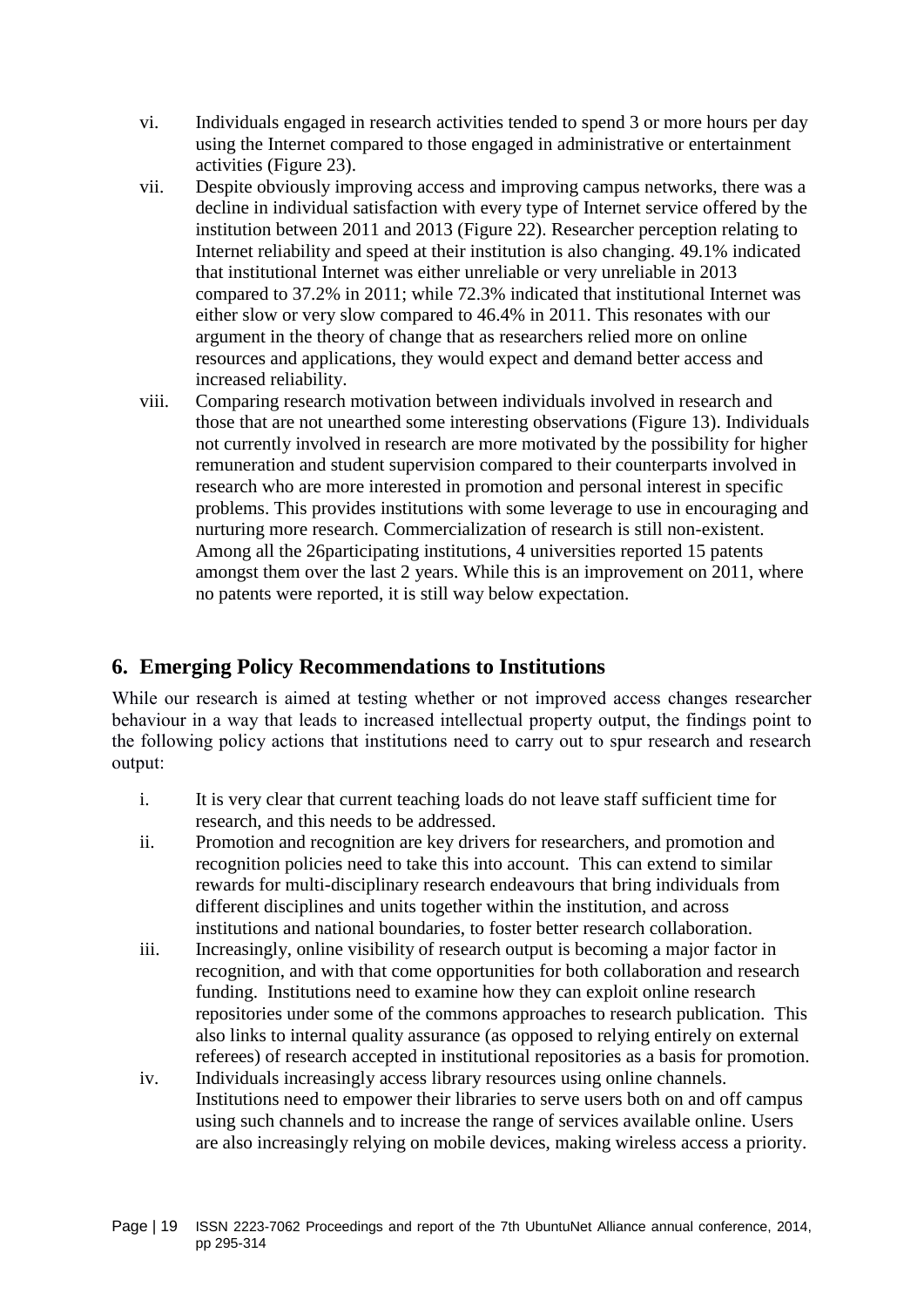- vi. Individuals engaged in research activities tended to spend 3 or more hours per day using the Internet compared to those engaged in administrative or entertainment activities [\(Figure 23\)](#page-16-1).
- vii. Despite obviously improving access and improving campus networks, there was a decline in individual satisfaction with every type of Internet service offered by the institution between 2011 and 2013 [\(Figure 22\)](#page-16-0). Researcher perception relating to Internet reliability and speed at their institution is also changing. 49.1% indicated that institutional Internet was either unreliable or very unreliable in 2013 compared to 37.2% in 2011; while 72.3% indicated that institutional Internet was either slow or very slow compared to 46.4% in 2011. This resonates with our argument in the theory of change that as researchers relied more on online resources and applications, they would expect and demand better access and increased reliability.
- viii. Comparing research motivation between individuals involved in research and those that are not unearthed some interesting observations [\(Figure 13\)](#page-11-0). Individuals not currently involved in research are more motivated by the possibility for higher remuneration and student supervision compared to their counterparts involved in research who are more interested in promotion and personal interest in specific problems. This provides institutions with some leverage to use in encouraging and nurturing more research. Commercialization of research is still non-existent. Among all the 26participating institutions, 4 universities reported 15 patents amongst them over the last 2 years. While this is an improvement on 2011, where no patents were reported, it is still way below expectation.

# **6. Emerging Policy Recommendations to Institutions**

While our research is aimed at testing whether or not improved access changes researcher behaviour in a way that leads to increased intellectual property output, the findings point to the following policy actions that institutions need to carry out to spur research and research output:

- i. It is very clear that current teaching loads do not leave staff sufficient time for research, and this needs to be addressed.
- ii. Promotion and recognition are key drivers for researchers, and promotion and recognition policies need to take this into account. This can extend to similar rewards for multi-disciplinary research endeavours that bring individuals from different disciplines and units together within the institution, and across institutions and national boundaries, to foster better research collaboration.
- iii. Increasingly, online visibility of research output is becoming a major factor in recognition, and with that come opportunities for both collaboration and research funding. Institutions need to examine how they can exploit online research repositories under some of the commons approaches to research publication. This also links to internal quality assurance (as opposed to relying entirely on external referees) of research accepted in institutional repositories as a basis for promotion.
- iv. Individuals increasingly access library resources using online channels. Institutions need to empower their libraries to serve users both on and off campus using such channels and to increase the range of services available online. Users are also increasingly relying on mobile devices, making wireless access a priority.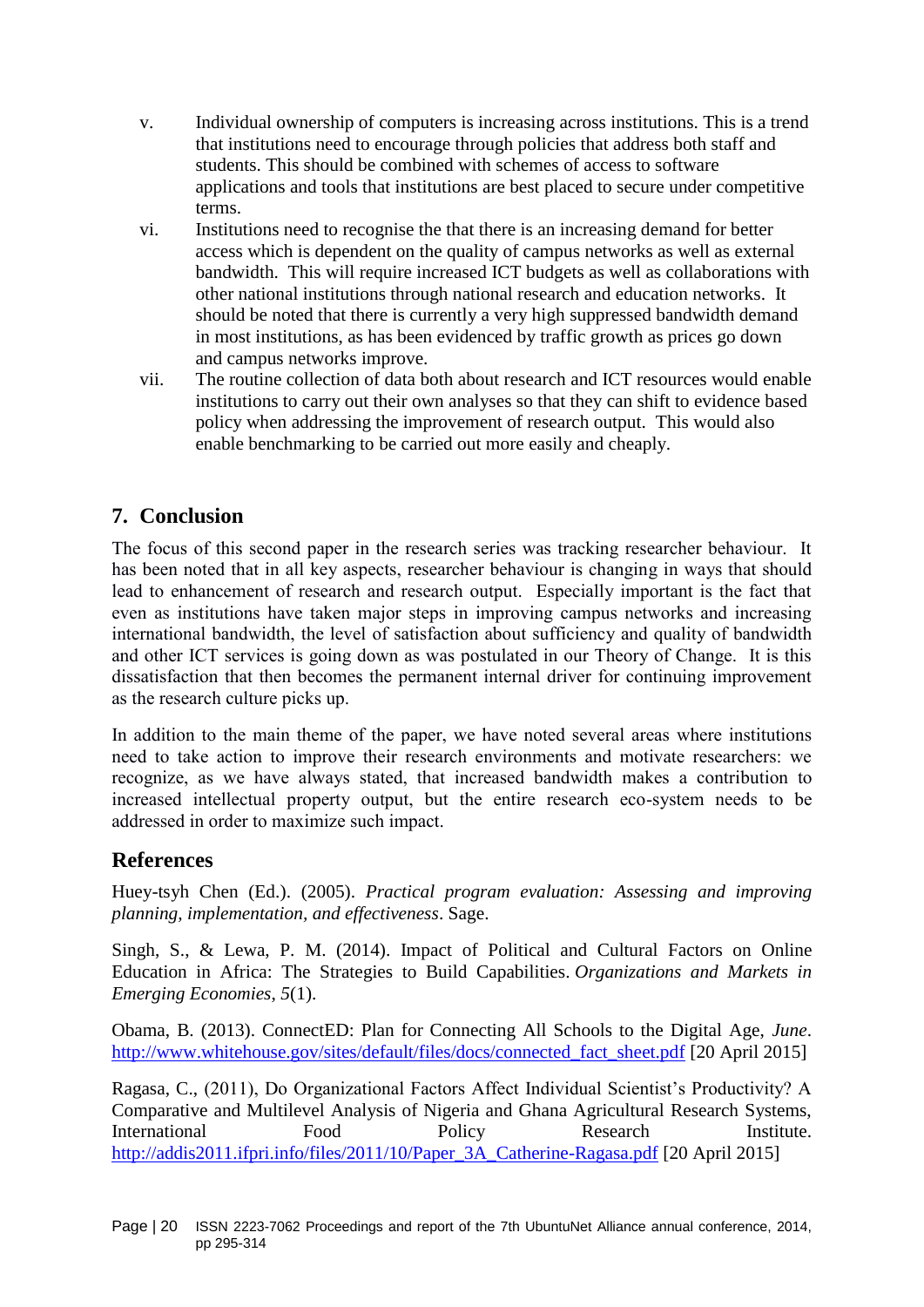- v. Individual ownership of computers is increasing across institutions. This is a trend that institutions need to encourage through policies that address both staff and students. This should be combined with schemes of access to software applications and tools that institutions are best placed to secure under competitive terms.
- vi. Institutions need to recognise the that there is an increasing demand for better access which is dependent on the quality of campus networks as well as external bandwidth. This will require increased ICT budgets as well as collaborations with other national institutions through national research and education networks. It should be noted that there is currently a very high suppressed bandwidth demand in most institutions, as has been evidenced by traffic growth as prices go down and campus networks improve.
- vii. The routine collection of data both about research and ICT resources would enable institutions to carry out their own analyses so that they can shift to evidence based policy when addressing the improvement of research output. This would also enable benchmarking to be carried out more easily and cheaply.

# **7. Conclusion**

The focus of this second paper in the research series was tracking researcher behaviour. It has been noted that in all key aspects, researcher behaviour is changing in ways that should lead to enhancement of research and research output. Especially important is the fact that even as institutions have taken major steps in improving campus networks and increasing international bandwidth, the level of satisfaction about sufficiency and quality of bandwidth and other ICT services is going down as was postulated in our Theory of Change. It is this dissatisfaction that then becomes the permanent internal driver for continuing improvement as the research culture picks up.

In addition to the main theme of the paper, we have noted several areas where institutions need to take action to improve their research environments and motivate researchers: we recognize, as we have always stated, that increased bandwidth makes a contribution to increased intellectual property output, but the entire research eco-system needs to be addressed in order to maximize such impact.

# **References**

Huey-tsyh Chen (Ed.). (2005). *Practical program evaluation: Assessing and improving planning, implementation, and effectiveness*. Sage.

Singh, S., & Lewa, P. M. (2014). Impact of Political and Cultural Factors on Online Education in Africa: The Strategies to Build Capabilities. *Organizations and Markets in Emerging Economies*, *5*(1).

Obama, B. (2013). ConnectED: Plan for Connecting All Schools to the Digital Age, *June*. [http://www.whitehouse.gov/sites/default/files/docs/connected\\_fact\\_sheet.pdf](http://www.whitehouse.gov/sites/default/files/docs/connected_fact_sheet.pdf) [20 April 2015]

Ragasa, C., (2011), Do Organizational Factors Affect Individual Scientist's Productivity? A Comparative and Multilevel Analysis of Nigeria and Ghana Agricultural Research Systems, International Food Policy Research Institute. [http://addis2011.ifpri.info/files/2011/10/Paper\\_3A\\_Catherine-Ragasa.pdf](http://addis2011.ifpri.info/files/2011/10/Paper_3A_Catherine-Ragasa.pdf) [20 April 2015]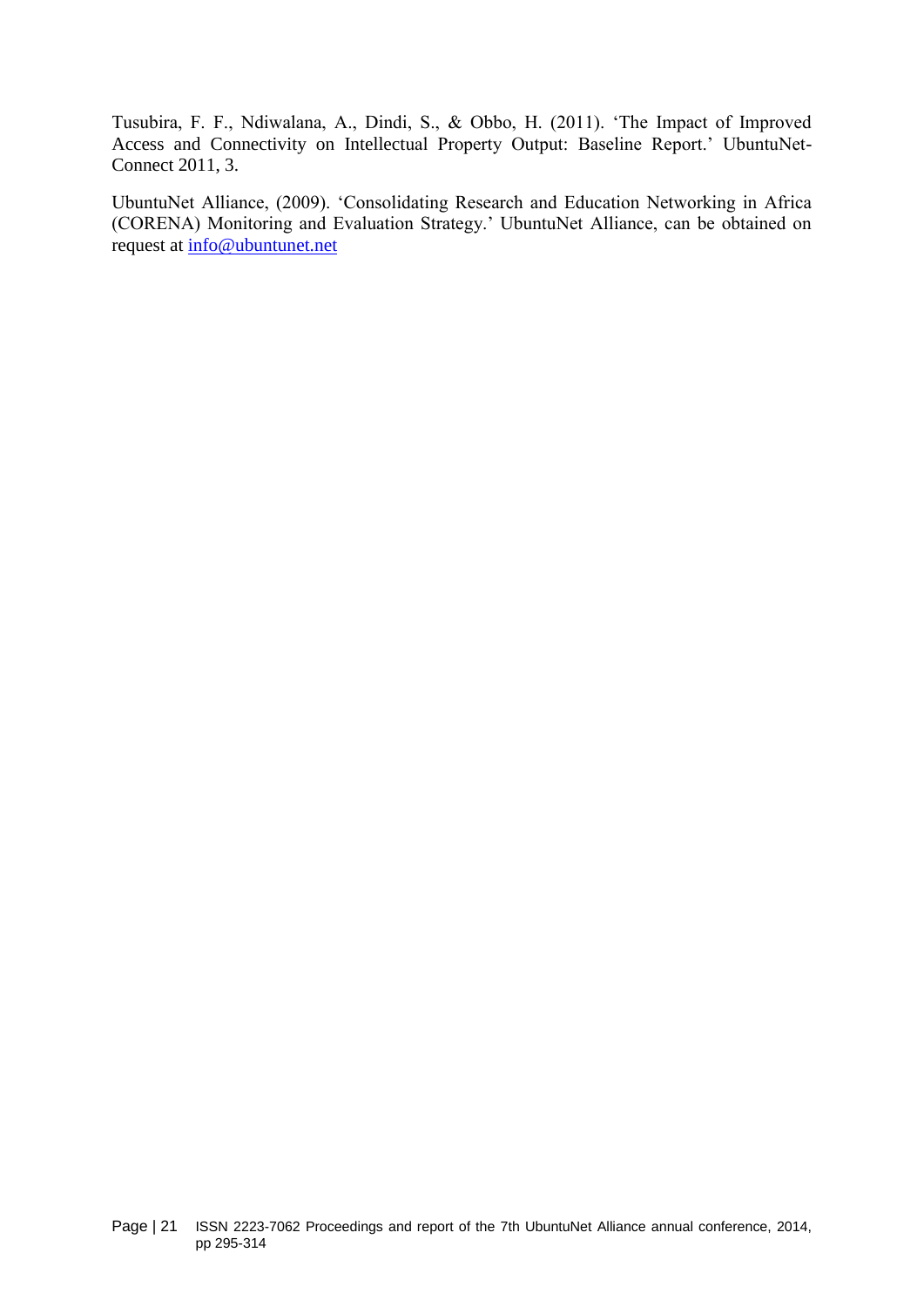Tusubira, F. F., Ndiwalana, A., Dindi, S., & Obbo, H. (2011). 'The Impact of Improved Access and Connectivity on Intellectual Property Output: Baseline Report.' UbuntuNet-Connect 2011, 3.

UbuntuNet Alliance, (2009). 'Consolidating Research and Education Networking in Africa (CORENA) Monitoring and Evaluation Strategy.' UbuntuNet Alliance, can be obtained on request at [info@ubuntunet.net](mailto:info@ubuntunet.net)